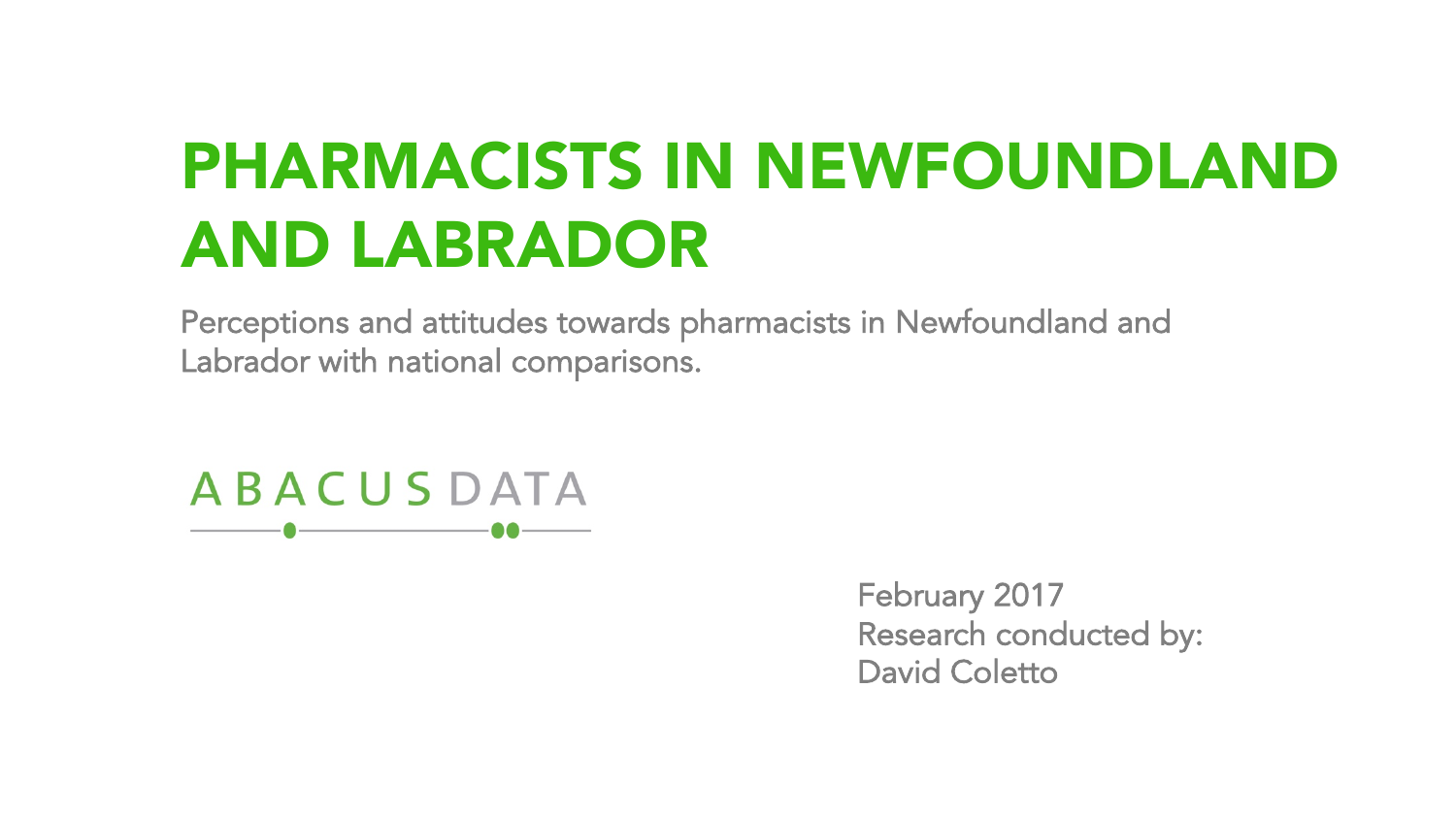# PHARMACISTS IN NEWFOUNDLAND AND LABRADOR

Perceptions and attitudes towards pharmacists in Newfoundland and Labrador with national comparisons.

**ABACUSDATA** 

> February 2017 Research conducted by: David Coletto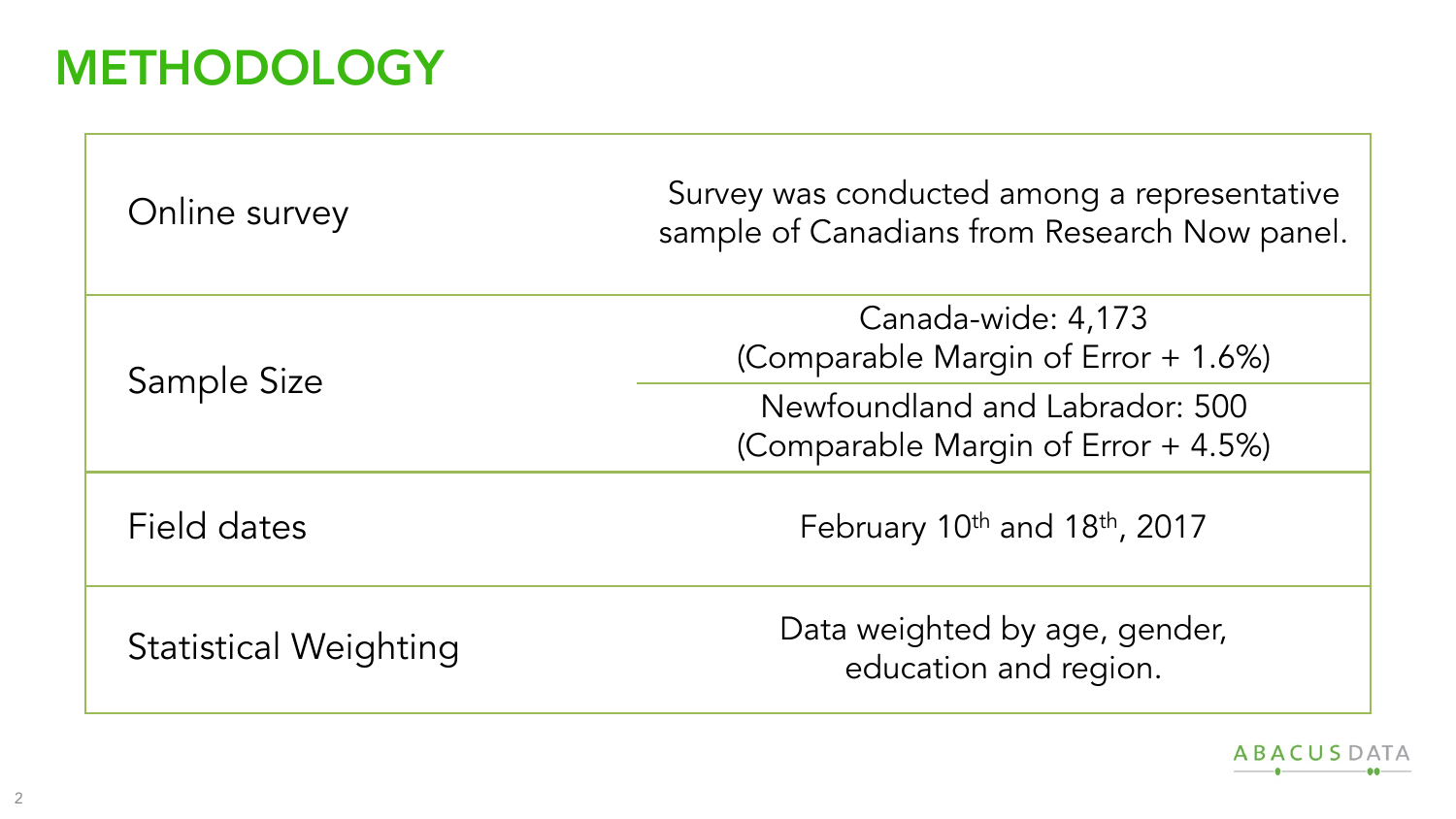#### **METHODOLOGY**

| Online survey                | Survey was conducted among a representative<br>sample of Canadians from Research Now panel. |
|------------------------------|---------------------------------------------------------------------------------------------|
| Sample Size                  | Canada-wide: 4,173<br>(Comparable Margin of Error + 1.6%)                                   |
|                              | Newfoundland and Labrador: 500<br>(Comparable Margin of Error + 4.5%)                       |
| Field dates                  | February 10 <sup>th</sup> and 18 <sup>th</sup> , 2017                                       |
| <b>Statistical Weighting</b> | Data weighted by age, gender,<br>education and region.                                      |

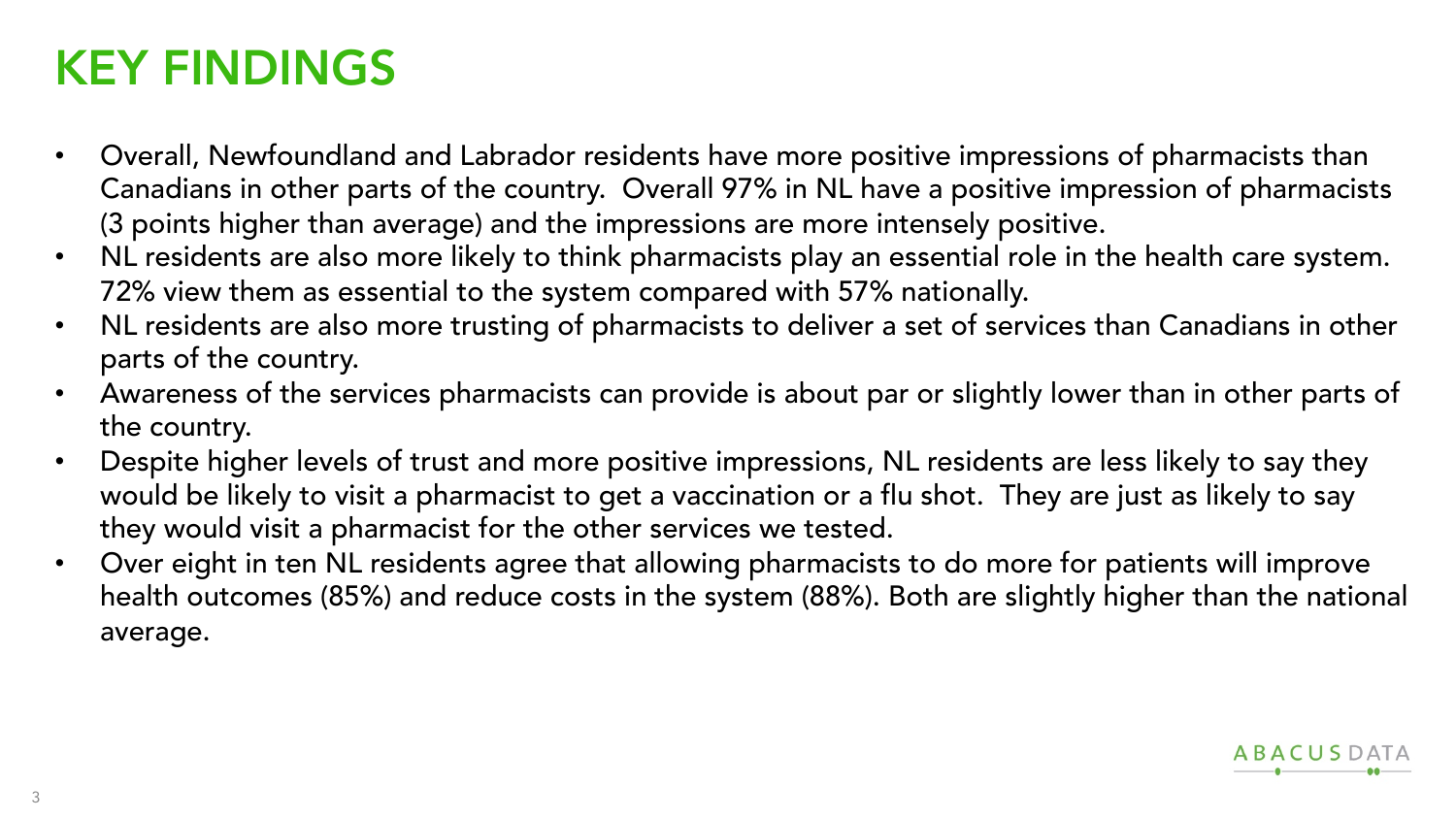#### KEY FINDINGS

- Overall, Newfoundland and Labrador residents have more positive impressions of pharmacists than Canadians in other parts of the country. Overall 97% in NL have a positive impression of pharmacists (3 points higher than average) and the impressions are more intensely positive.
- NL residents are also more likely to think pharmacists play an essential role in the health care system. 72% view them as essential to the system compared with 57% nationally.
- NL residents are also more trusting of pharmacists to deliver a set of services than Canadians in other parts of the country.
- Awareness of the services pharmacists can provide is about par or slightly lower than in other parts of the country.
- Despite higher levels of trust and more positive impressions, NL residents are less likely to say they would be likely to visit a pharmacist to get a vaccination or a flu shot. They are just as likely to say they would visit a pharmacist for the other services we tested.
- Over eight in ten NL residents agree that allowing pharmacists to do more for patients will improve health outcomes (85%) and reduce costs in the system (88%). Both are slightly higher than the national average.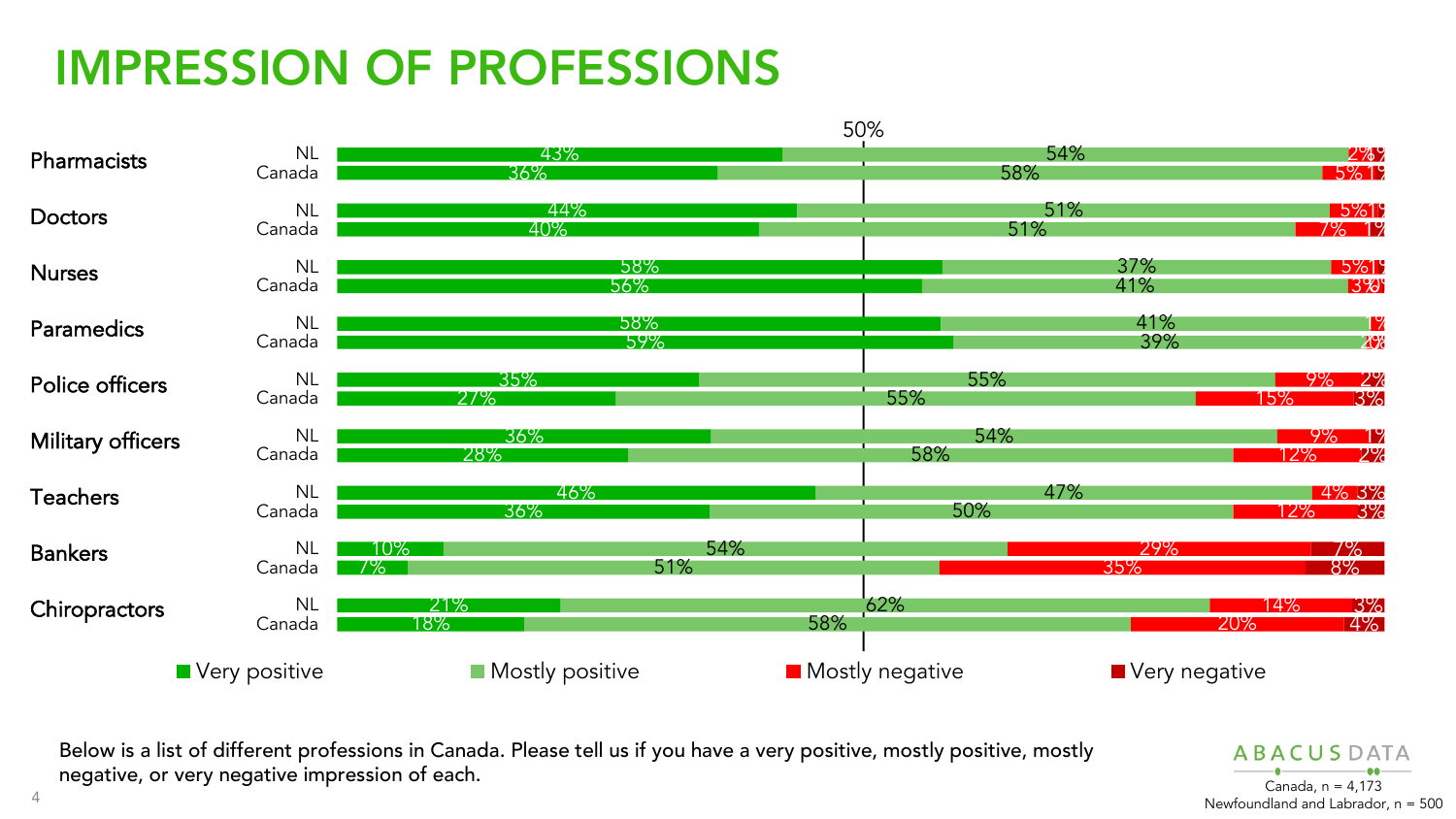## IMPRESSION OF PROFESSIONS



Below is a list of different professions in Canada. Please tell us if you have a very positive, mostly positive, mostly negative, or very negative impression of each. The set of the set of the canada, n = 4.173

**ABACUSDATA** Newfoundland and Labrador, n = 500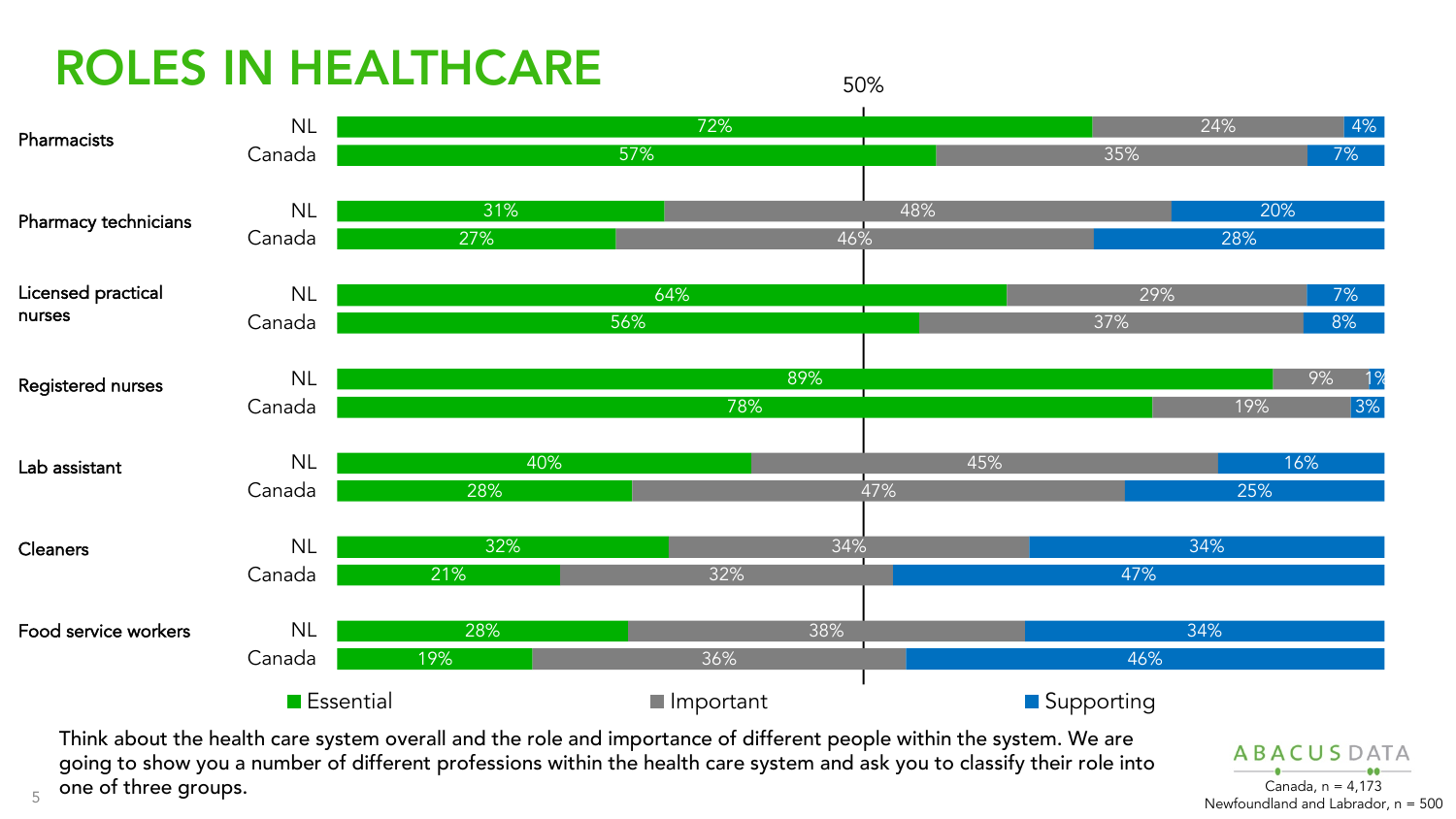## ROLES IN HEALTHCARE

5



50%

going to show you a number of different professions within the health care system and ask you to classify their role into one of three groups. Canada, n = 4,173

**ABACUSDATA** Newfoundland and Labrador, n = 500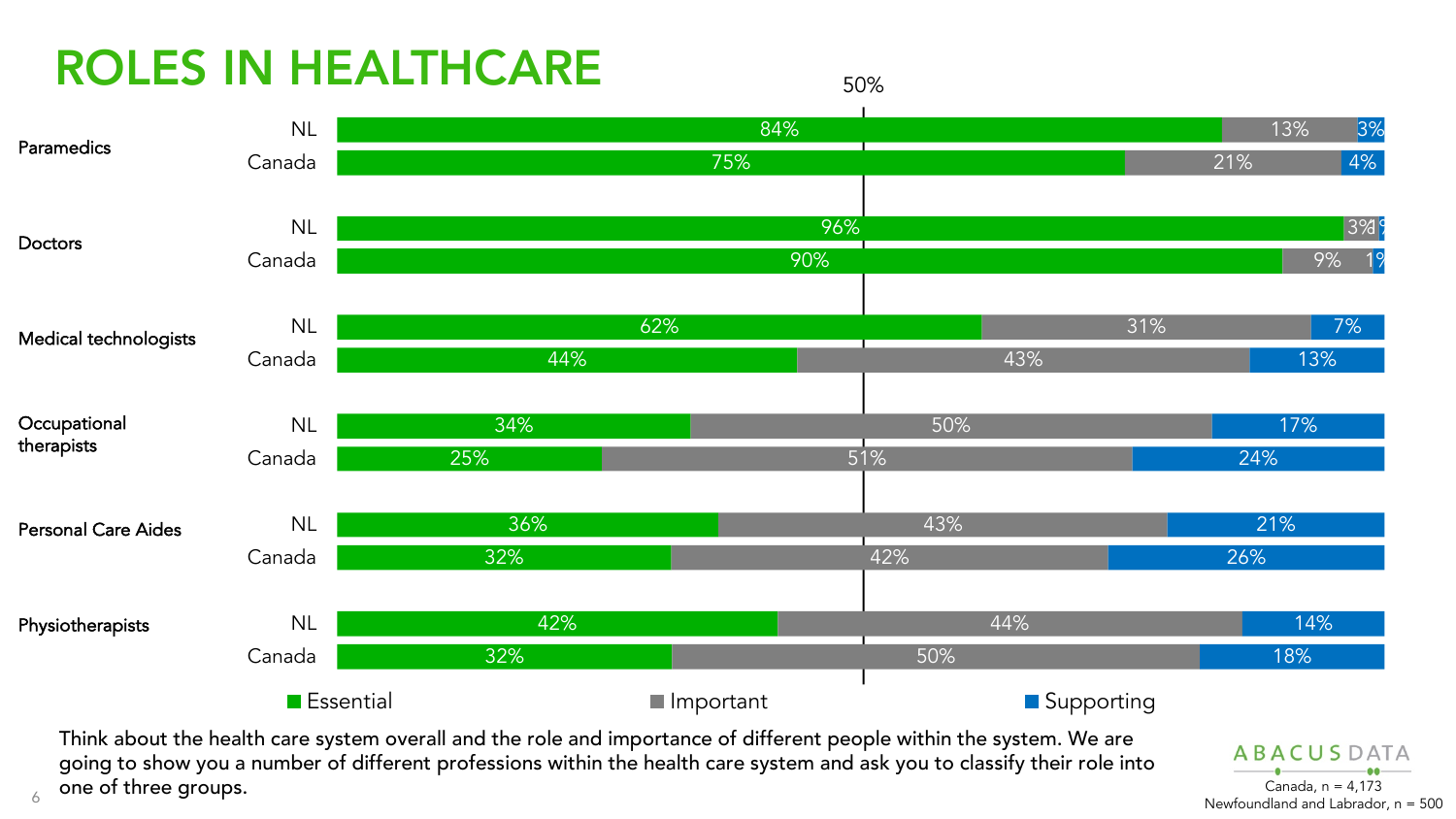## ROLES IN HEALTHCARE

6





Think about the health care system overall and the role and importance of different people within the system. We are going to show you a number of different professions within the health care system and ask you to classify their role into one of three groups.  $\blacksquare$  canada, n = 4,173

**ABACUSDATA** Newfoundland and Labrador, n = 500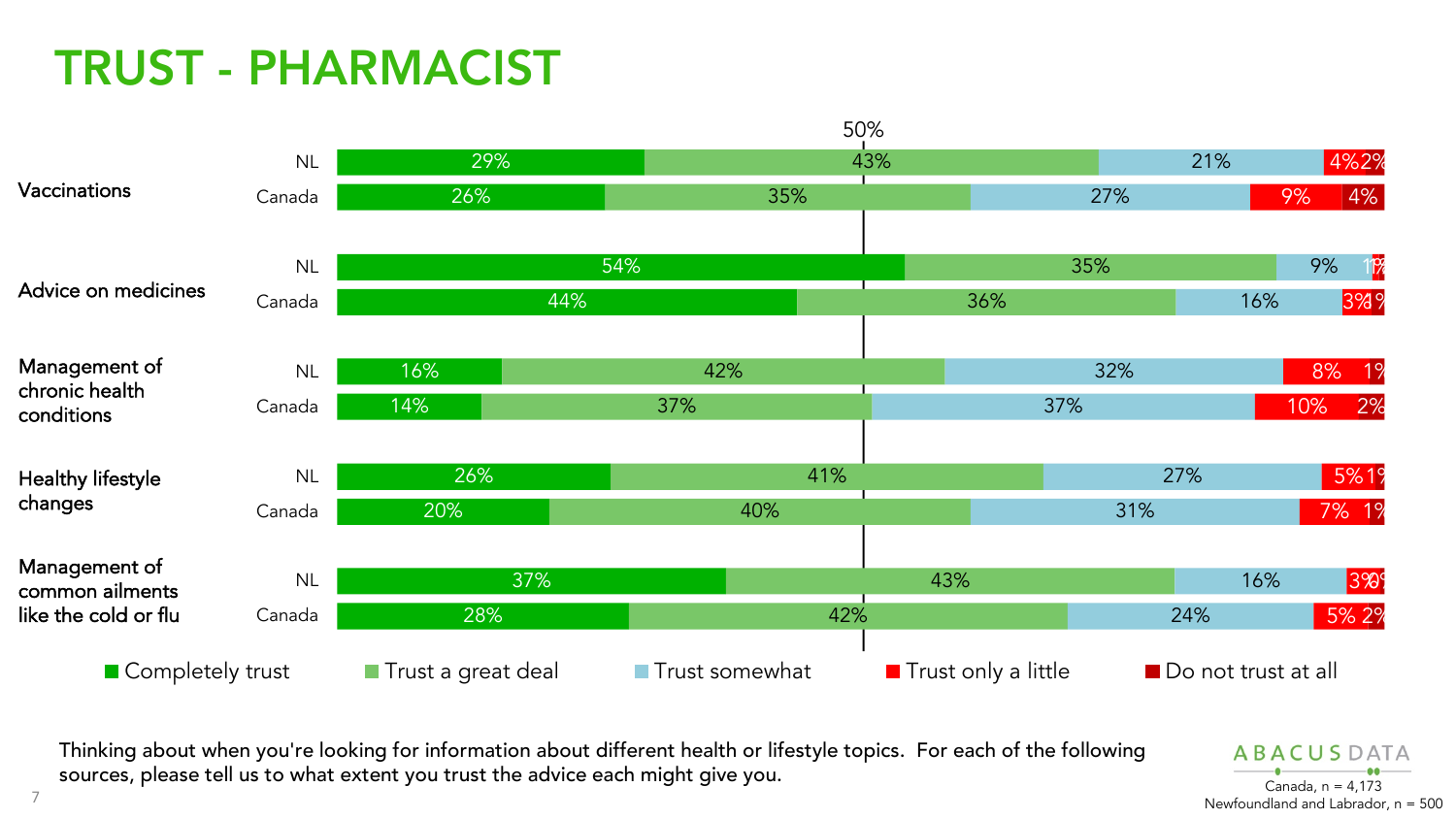## TRUST - PHARMACIST



Thinking about when you're looking for information about different health or lifestyle topics. For each of the following sources, please tell us to what extent you trust the advice each might give you. Canada, n = 4,173

**ABACUSDATA** Newfoundland and Labrador, n = 500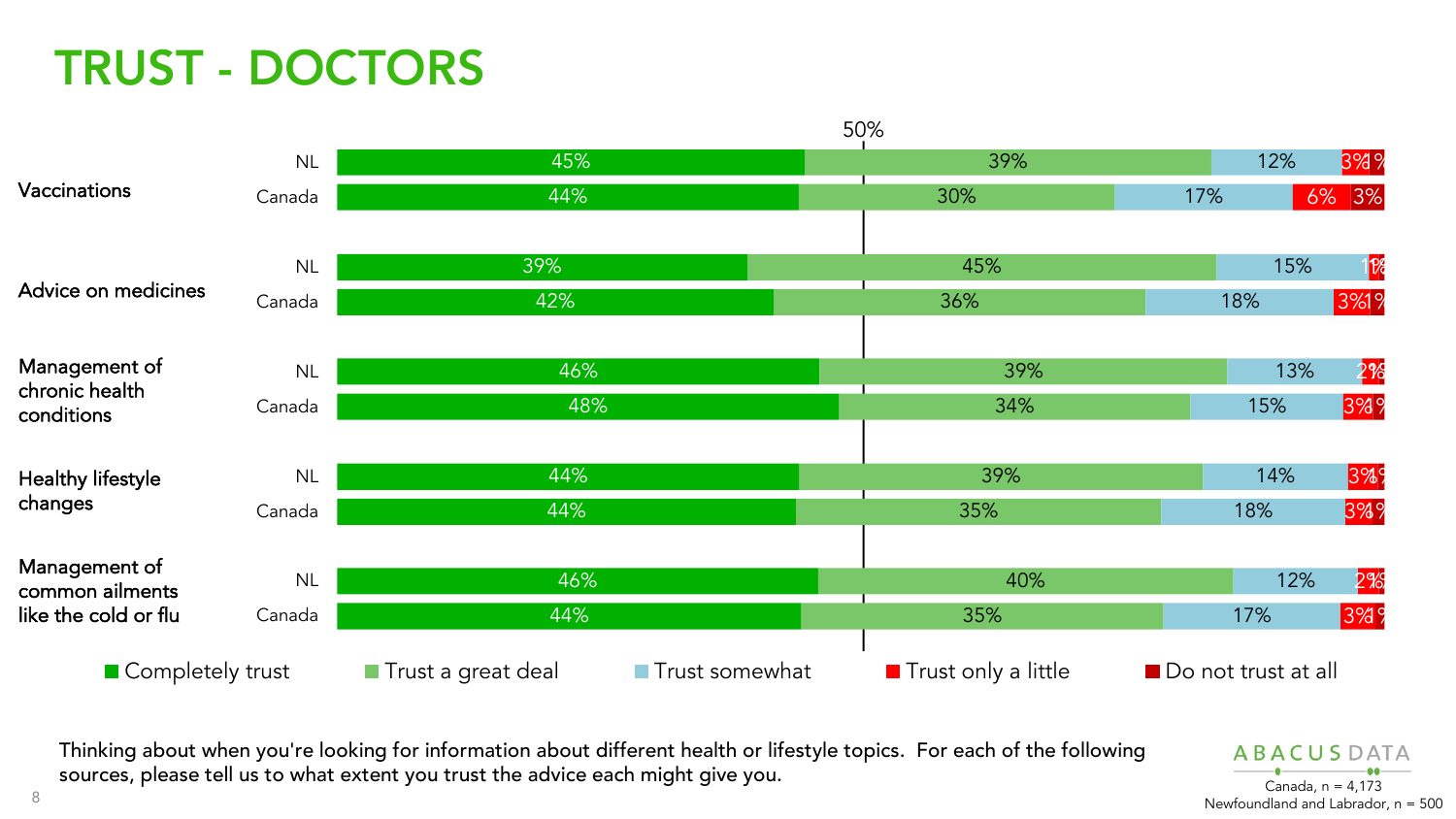## TRUST - DOCTORS



Thinking about when you're looking for information about different health or lifestyle topics. For each of the following sources, please tell us to what extent you trust the advice each might give you. Canada, n = 4,173

**ABACUSDATA** Newfoundland and Labrador, n = 500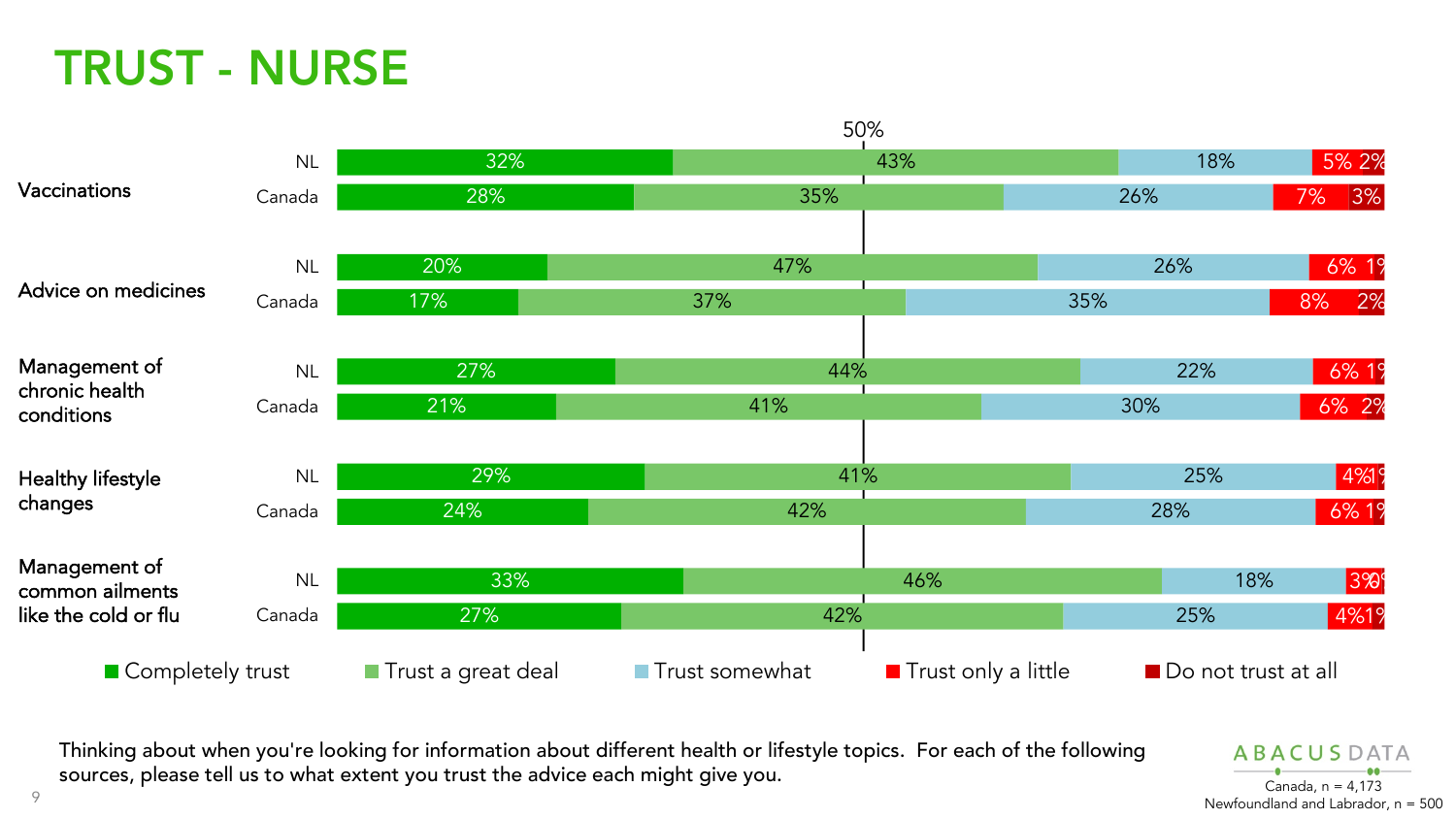### TRUST - NURSE



Thinking about when you're looking for information about different health or lifestyle topics. For each of the following sources, please tell us to what extent you trust the advice each might give you. Canada, n = 4,173

**ABACUSDATA** Newfoundland and Labrador, n = 500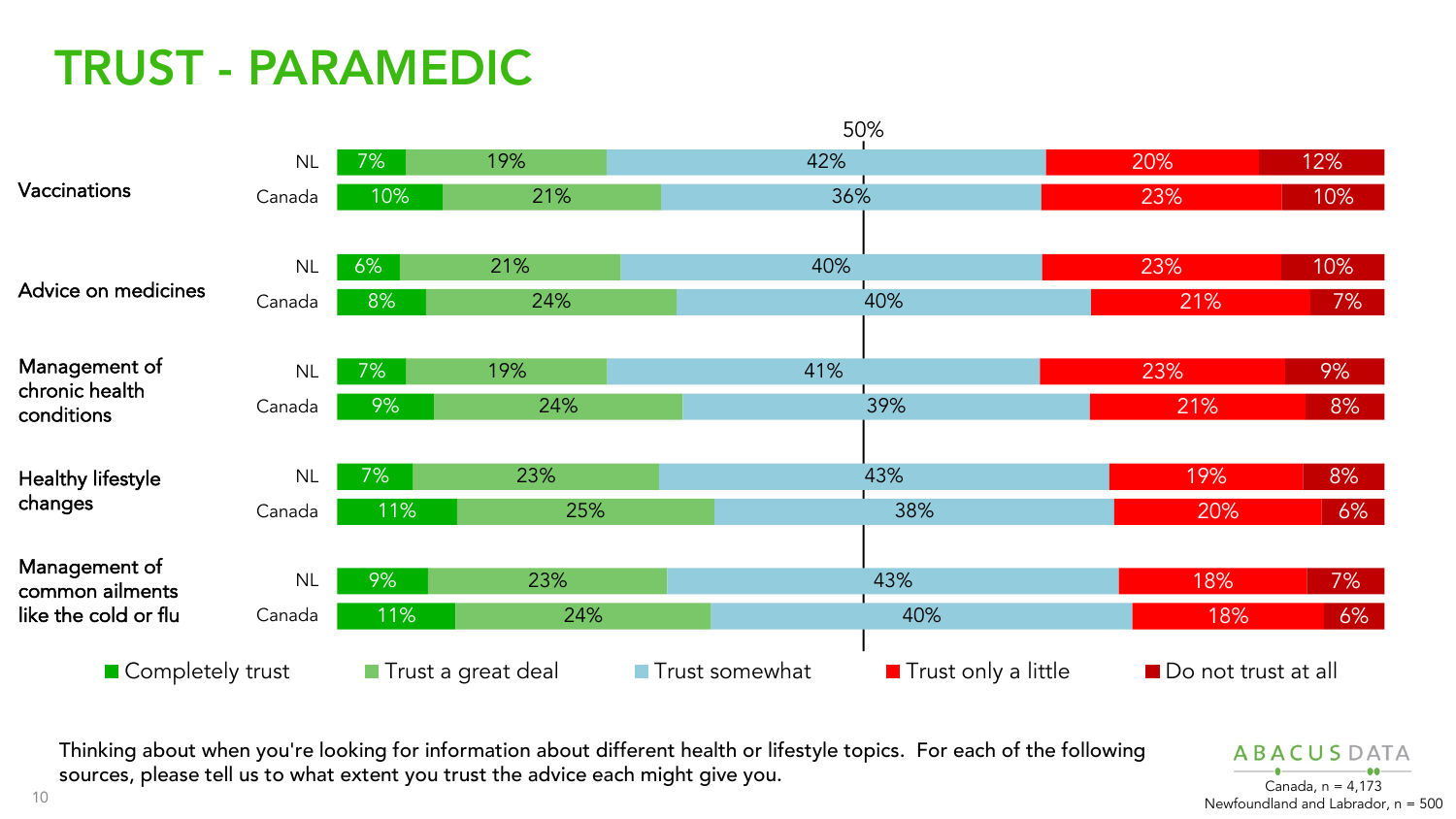## TRUST - PARAMEDIC



Thinking about when you're looking for information about different health or lifestyle topics. For each of the following sources, please tell us to what extent you trust the advice each might give you. Canada, n = 4,173

**ABACUSDATA** Newfoundland and Labrador, n = 500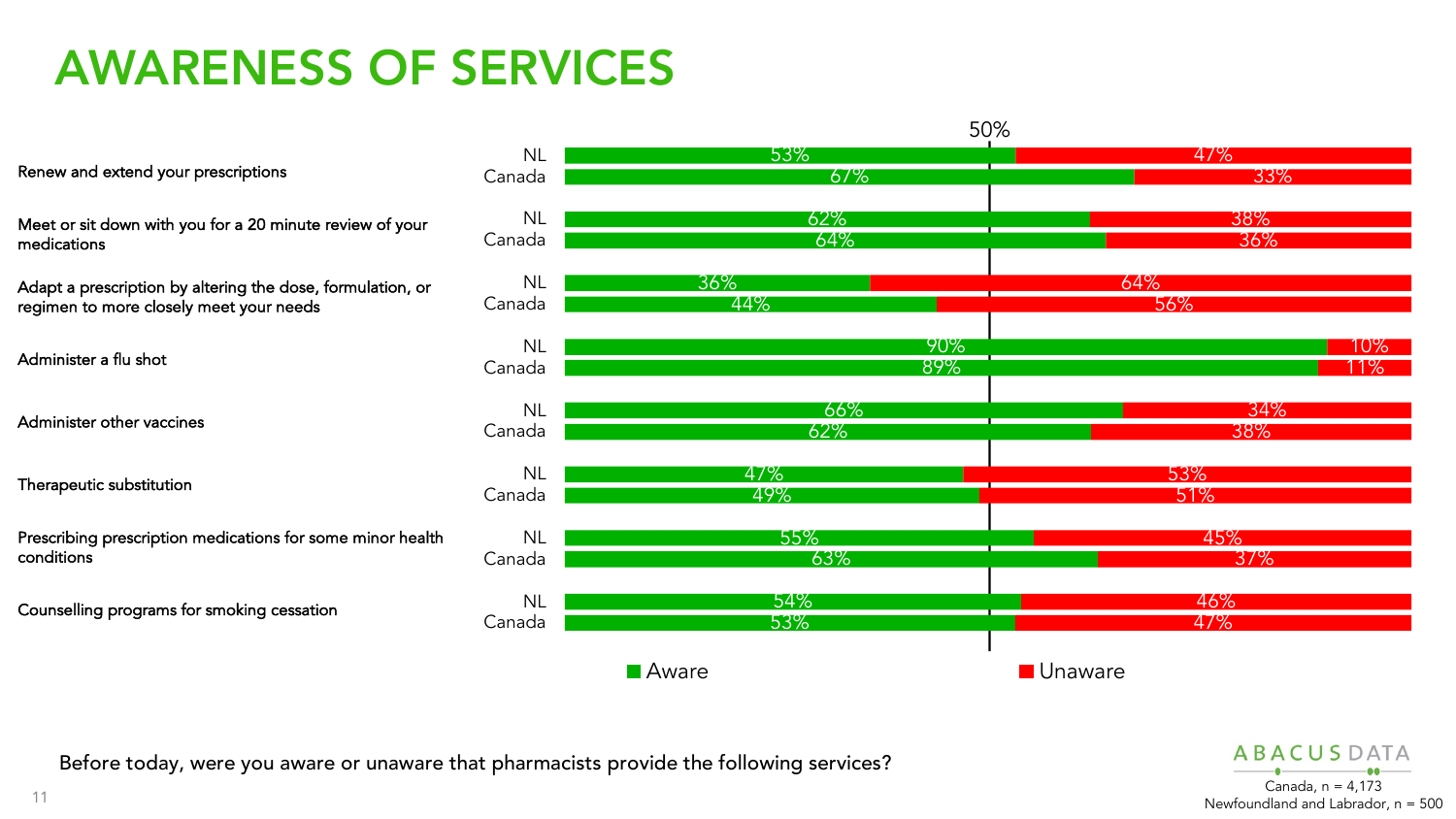#### AWARENESS OF SERVICES



Before today, were you aware or unaware that pharmacists provide the following services?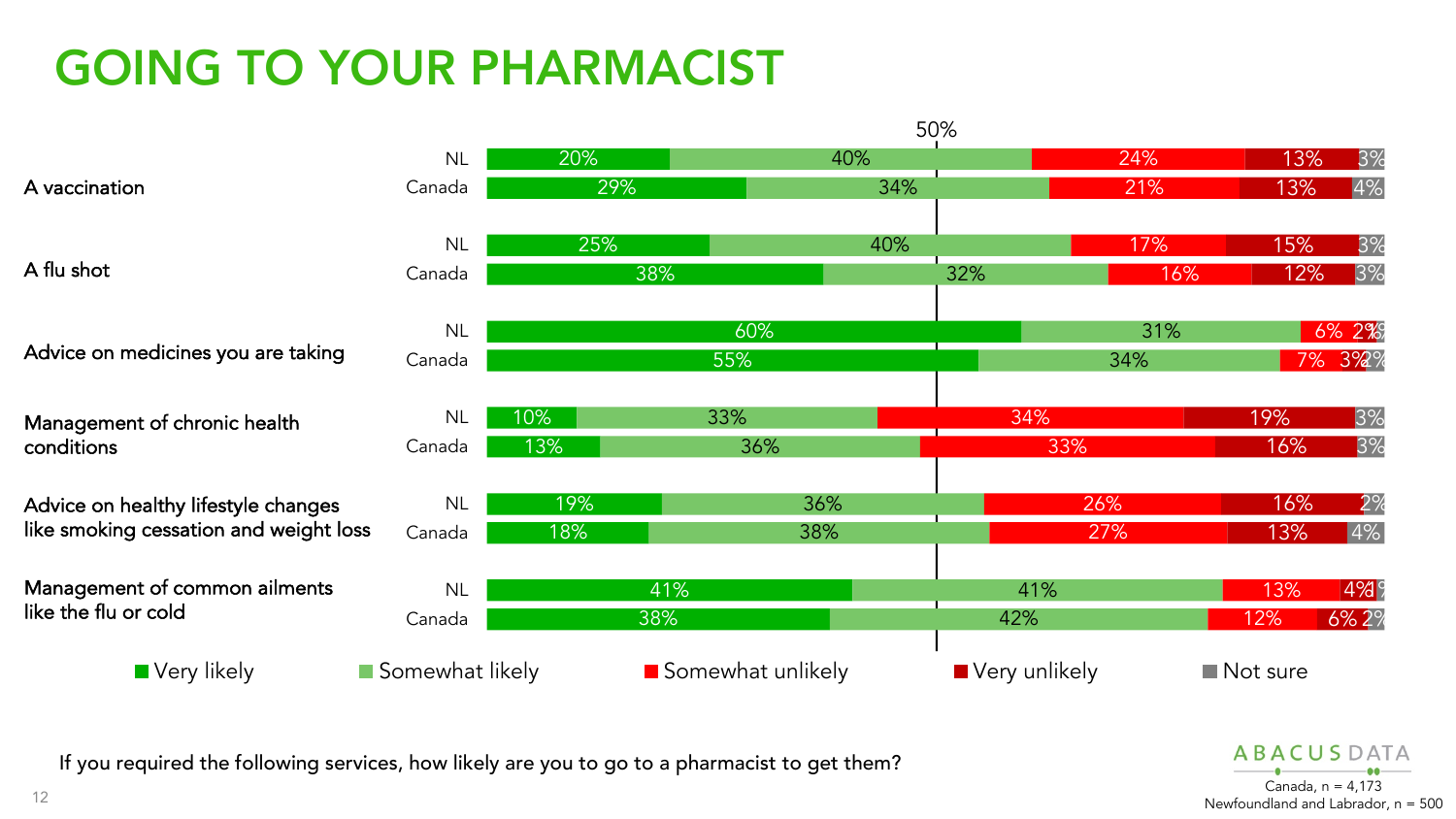## GOING TO YOUR PHARMACIST



If you required the following services, how likely are you to go to a pharmacist to get them?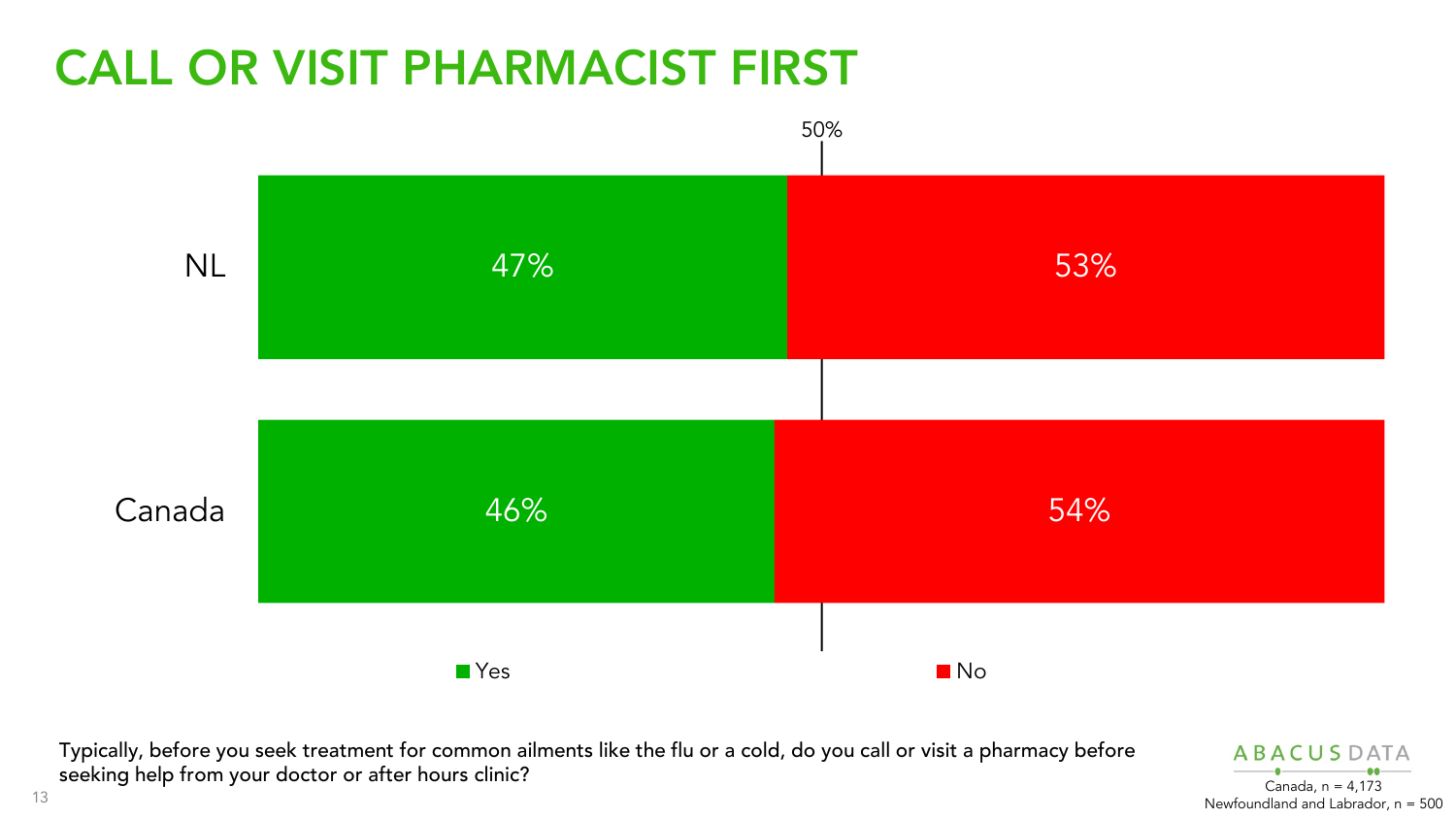## CALL OR VISIT PHARMACIST FIRST



Typically, before you seek treatment for common ailments like the flu or a cold, do you call or visit a pharmacy before seeking help from your doctor or after hours clinic? Canada, n = 4,173

**ABACUSDATA** Newfoundland and Labrador, n = 500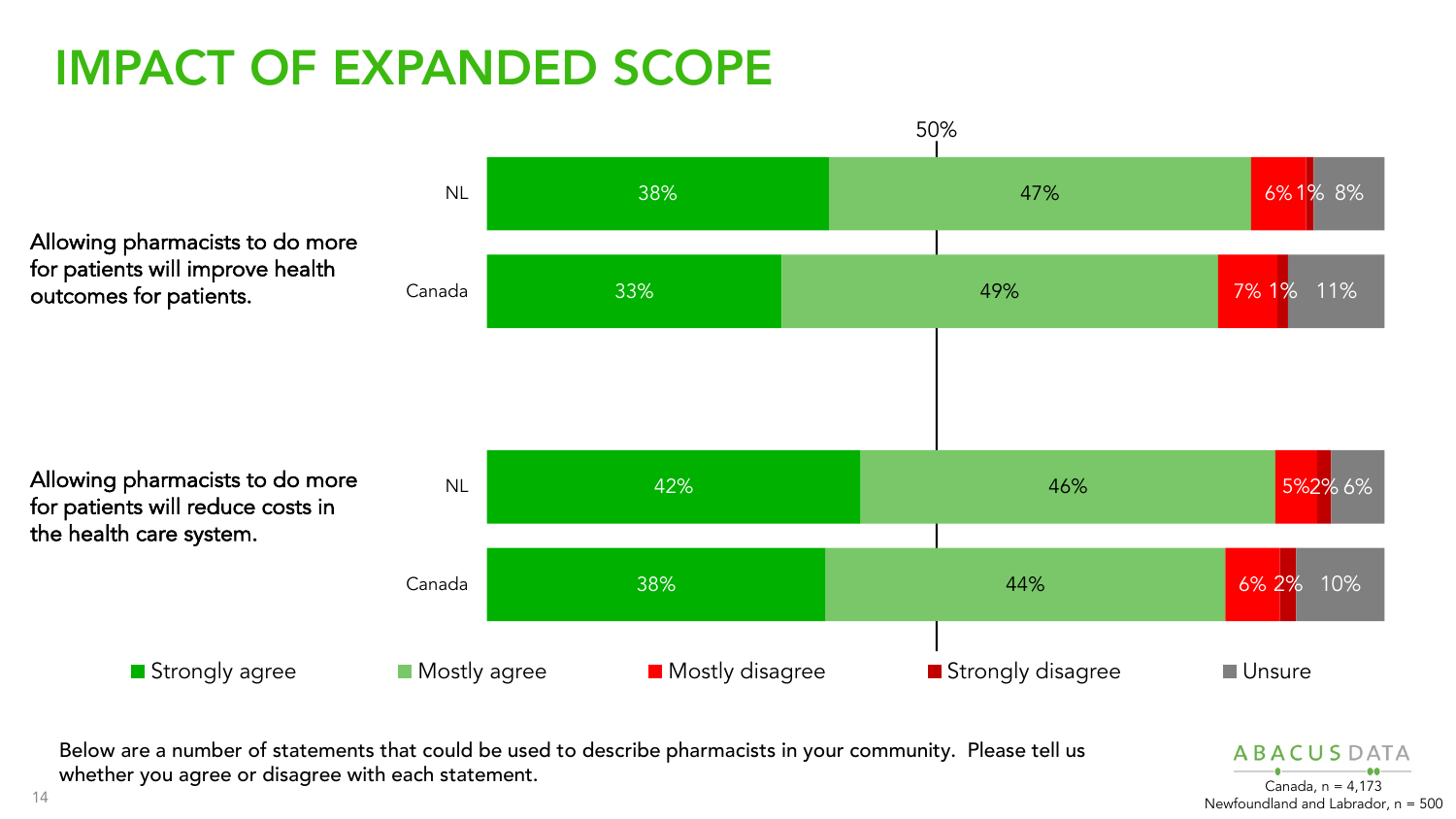## IMPACT OF EXPANDED SCOPE



Below are a number of statements that could be used to describe pharmacists in your community. Please tell us whether you agree or disagree with each statement.  $\overline{C_{\text{anada. } n}} = 4.173$ 

**ABACUSDATA** Newfoundland and Labrador, n = 500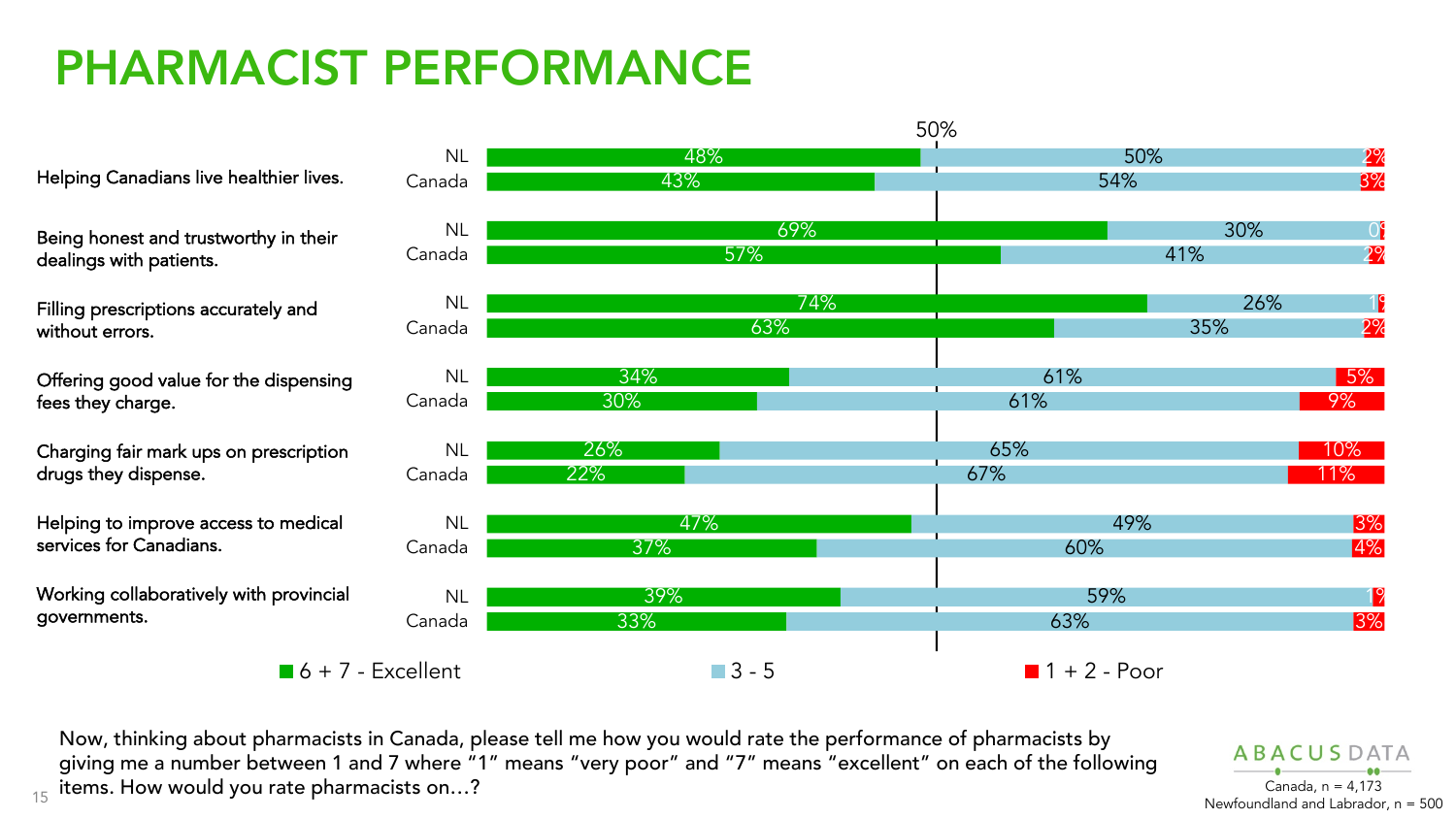#### PHARMACIST PERFORMANCE

Helping Canadians live healthier lives.

Being honest and trustworthy in their dealings with patients.

Filling prescriptions accurately and without errors.

Offering good value for the dispensing fees they charge.

Charging fair mark ups on prescription drugs they dispense.

Helping to improve access to medical services for Canadians.

Working collaboratively with provincial governments.



15 items. How would you rate pharmacists on…?<br>15 anada, n = 4,173 canada, n = 4,173 canada, n = 4,173 canada, n = 4,173 Now, thinking about pharmacists in Canada, please tell me how you would rate the performance of pharmacists by giving me a number between 1 and 7 where "1" means "very poor" and "7" means "excellent" on each of the following

 $ARACUSD$ Newfoundland and Labrador, n = 500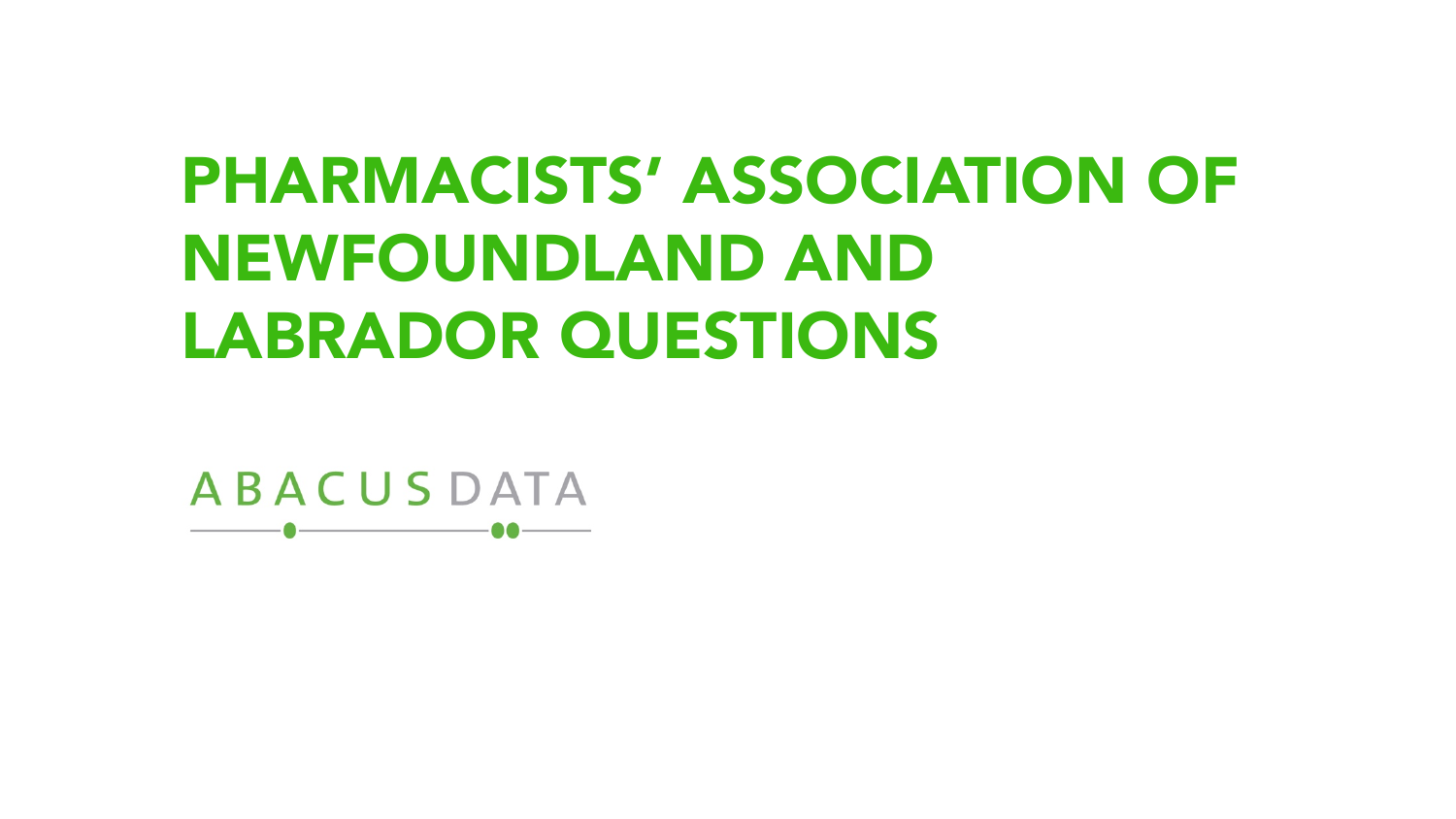# PHARMACISTS' ASSOCIATION OF NEWFOUNDLAND AND LABRADOR QUESTIONS

**ABACUSDATA**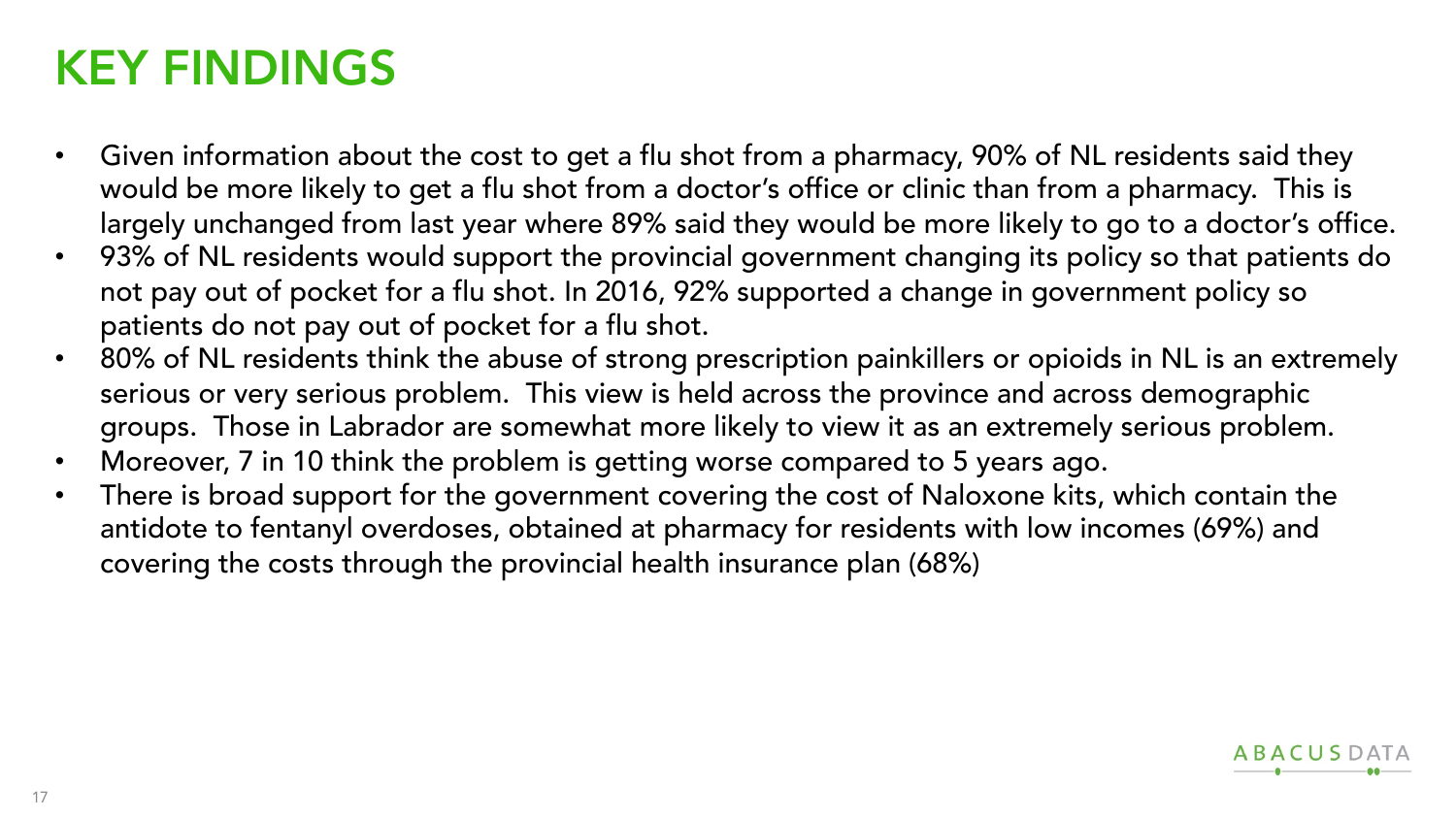#### KEY FINDINGS

- Given information about the cost to get a flu shot from a pharmacy, 90% of NL residents said they would be more likely to get a flu shot from a doctor's office or clinic than from a pharmacy. This is largely unchanged from last year where 89% said they would be more likely to go to a doctor's office.
- 93% of NL residents would support the provincial government changing its policy so that patients do not pay out of pocket for a flu shot. In 2016, 92% supported a change in government policy so patients do not pay out of pocket for a flu shot.
- 80% of NL residents think the abuse of strong prescription painkillers or opioids in NL is an extremely serious or very serious problem. This view is held across the province and across demographic groups. Those in Labrador are somewhat more likely to view it as an extremely serious problem.
- Moreover, 7 in 10 think the problem is getting worse compared to 5 years ago.
- There is broad support for the government covering the cost of Naloxone kits, which contain the antidote to fentanyl overdoses, obtained at pharmacy for residents with low incomes (69%) and covering the costs through the provincial health insurance plan (68%)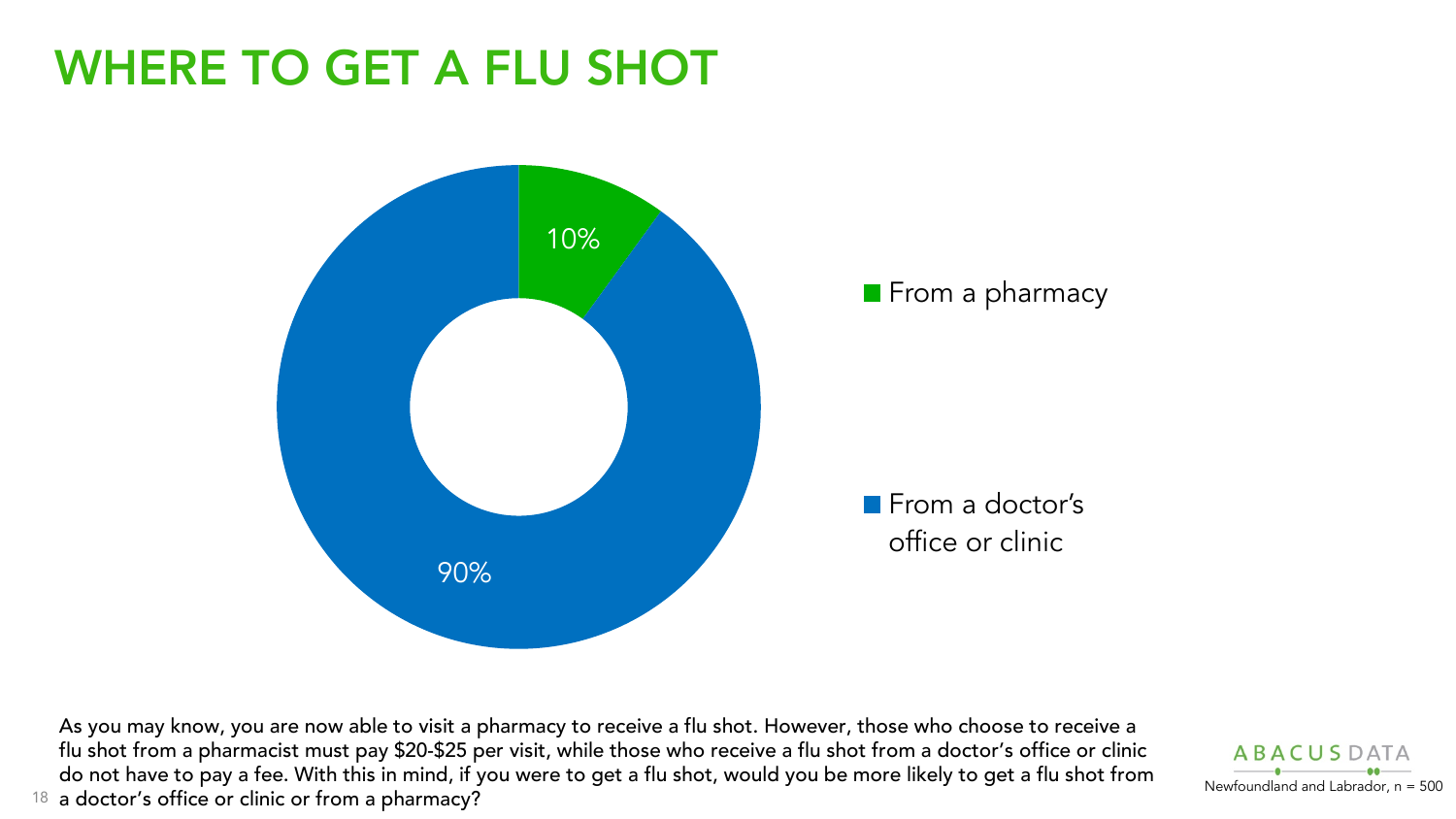#### WHERE TO GET A FLU SHOT



18 a doctor's office or clinic or from a pharmacy? As you may know, you are now able to visit a pharmacy to receive a flu shot. However, those who choose to receive a flu shot from a pharmacist must pay \$20-\$25 per visit, while those who receive a flu shot from a doctor's office or clinic do not have to pay a fee. With this in mind, if you were to get a flu shot, would you be more likely to get a flu shot from

**ABACUSD**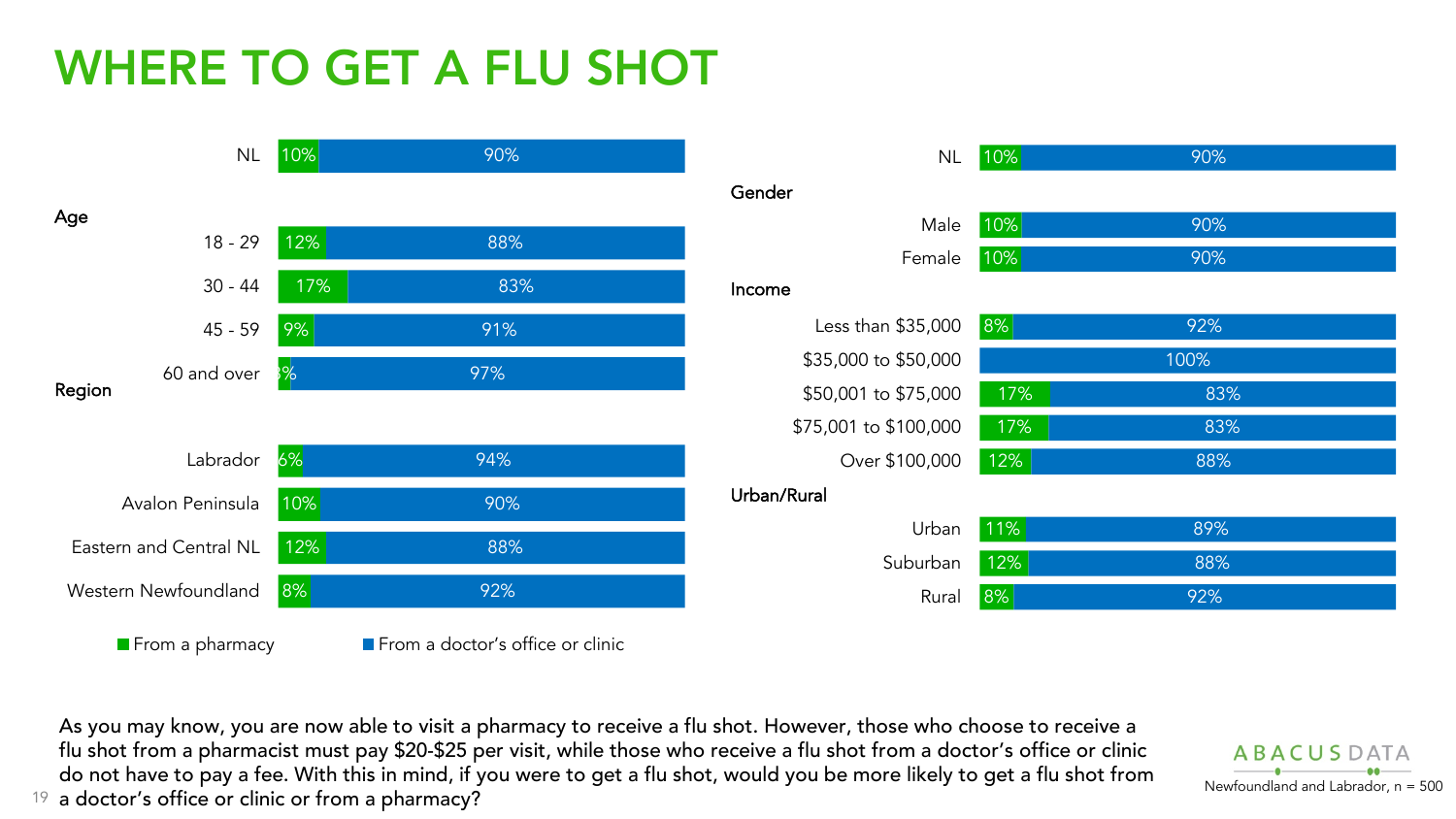## WHERE TO GET A FLU SHOT



19 a doctor's office or clinic or from a pharmacy?<br><sup>19</sup> a doctor's office or clinic or from a pharmacy? As you may know, you are now able to visit a pharmacy to receive a flu shot. However, those who choose to receive a flu shot from a pharmacist must pay \$20-\$25 per visit, while those who receive a flu shot from a doctor's office or clinic do not have to pay a fee. With this in mind, if you were to get a flu shot, would you be more likely to get a flu shot from

**ABACUSDATA**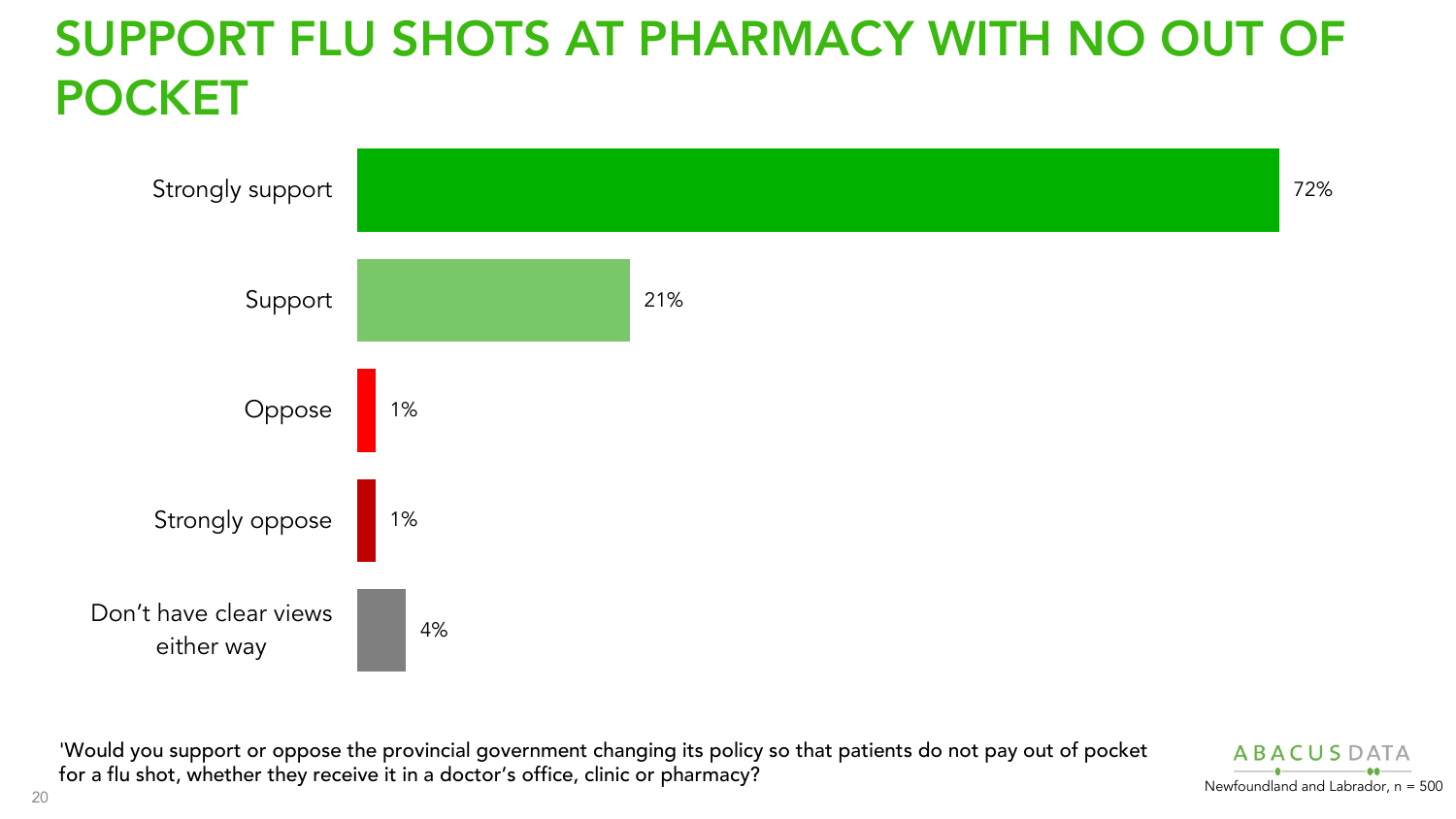## SUPPORT FLU SHOTS AT PHARMACY WITH NO OUT OF POCKET



'Would you support or oppose the provincial government changing its policy so that patients do not pay out of pocket for a flu shot, whether they receive it in a doctor's office, clinic or pharmacy?

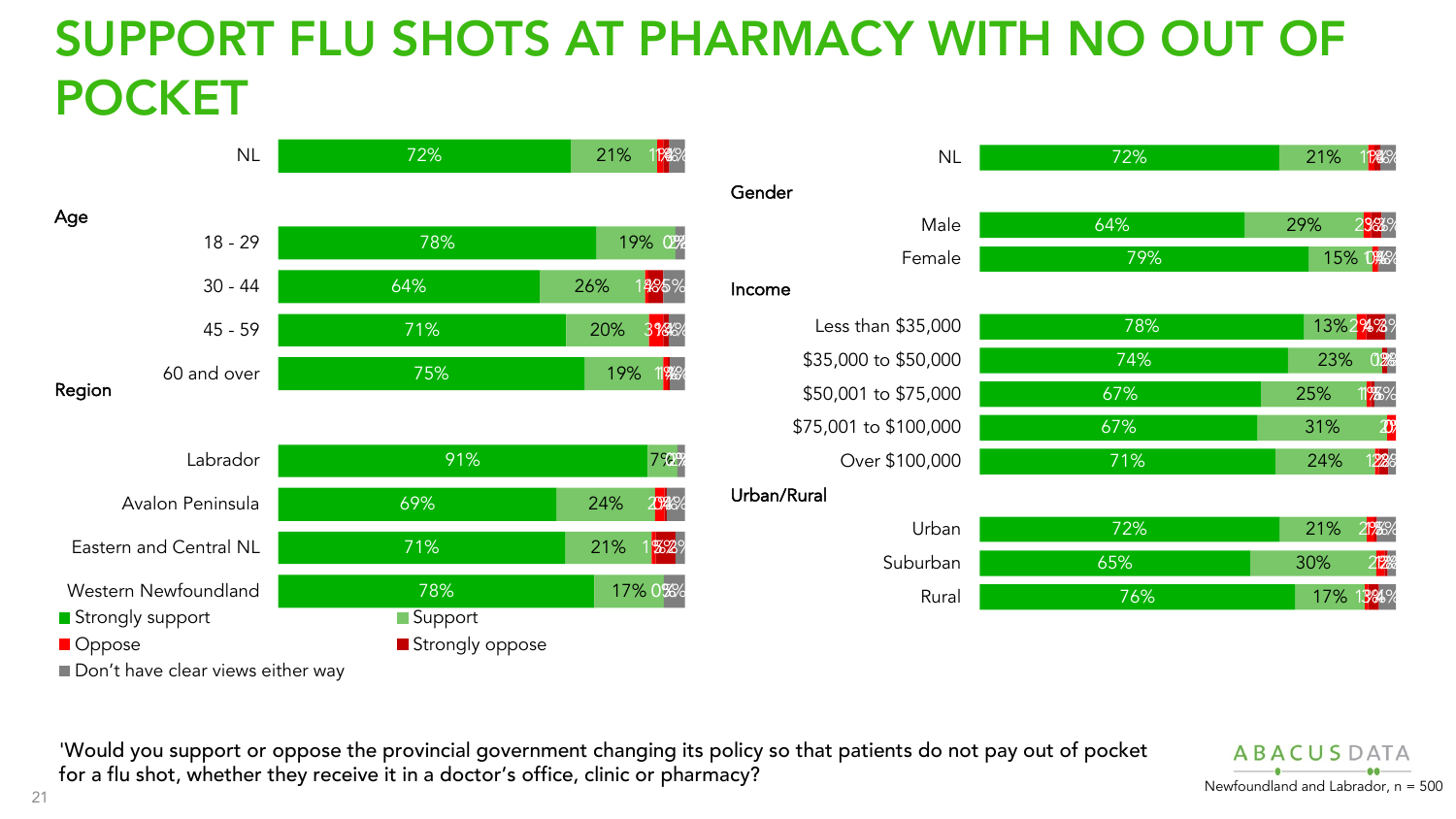## SUPPORT FLU SHOTS AT PHARMACY WITH NO OUT OF POCKET



| <b>NL</b>             | 72% | 21%                      |
|-----------------------|-----|--------------------------|
|                       |     |                          |
| Male                  | 64% | 29%<br>23%               |
| Female                | 79% | <b>15% 0%%</b>           |
|                       |     |                          |
| Less than \$35,000    | 78% | 13%2 <sup>%</sup> %%     |
| \$35,000 to \$50,000  | 74% | 23%<br>02%               |
| \$50,001 to \$75,000  | 67% | 25%<br>1 <mark>%%</mark> |
| \$75,001 to \$100,000 | 67% | 31%<br>$\boldsymbol{x}$  |
| Over \$100,000        | 71% | 24%<br>228               |
| रेural                |     |                          |
| Urban                 | 72% | 21%                      |
| Suburban              | 65% | 30%                      |
| Rural                 | 76% | 17%<br>1384%             |

'Would you support or oppose the provincial government changing its policy so that patients do not pay out of pocket for a flu shot, whether they receive it in a doctor's office, clinic or pharmacy?<br>Newfoundland and Labrador, n = 500

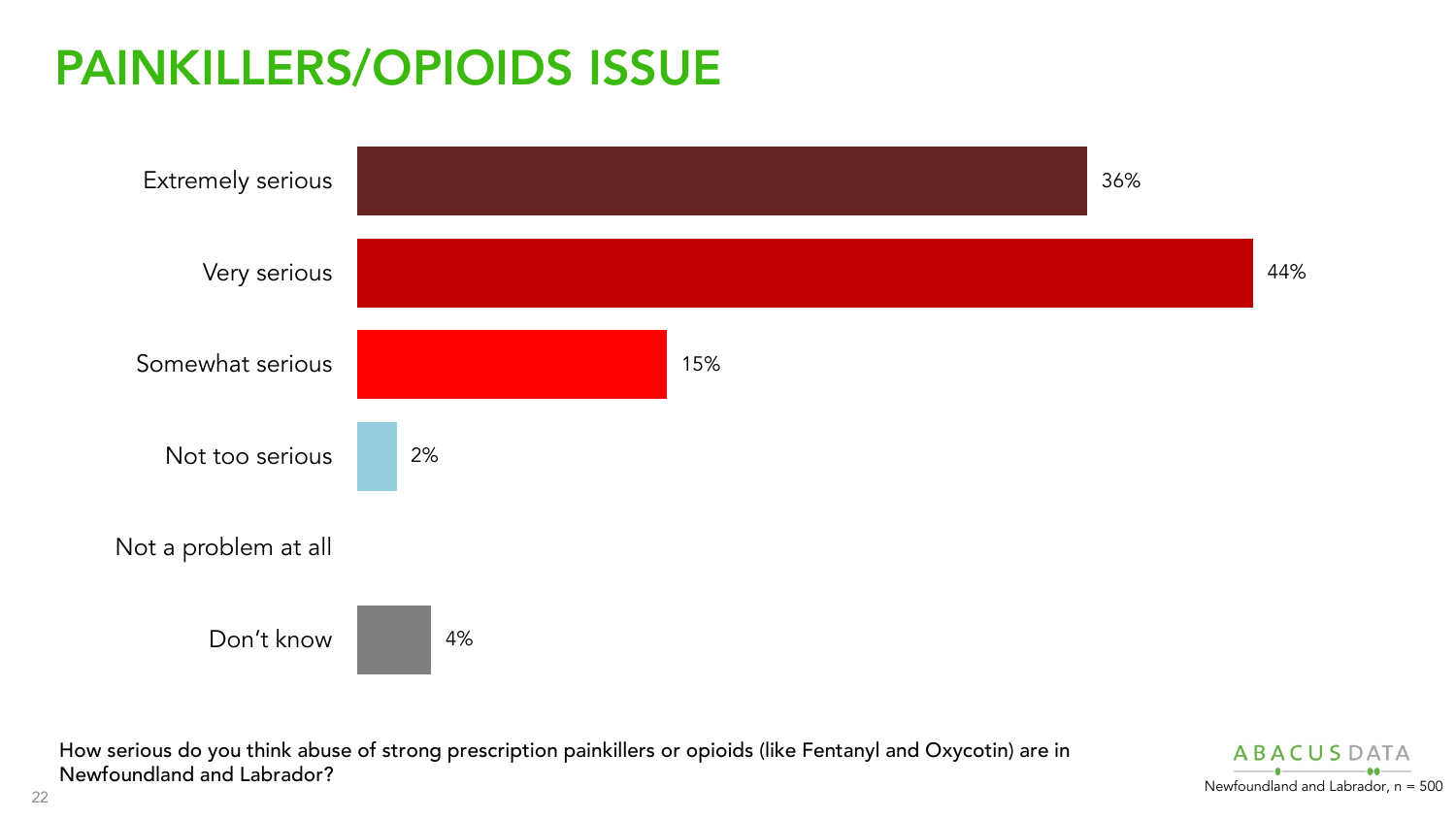## PAINKILLERS/OPIOIDS ISSUE



How serious do you think abuse of strong prescription painkillers or opioids (like Fentanyl and Oxycotin) are in Newfoundland and Labrador? Newfoundland and Labrador, n = 500

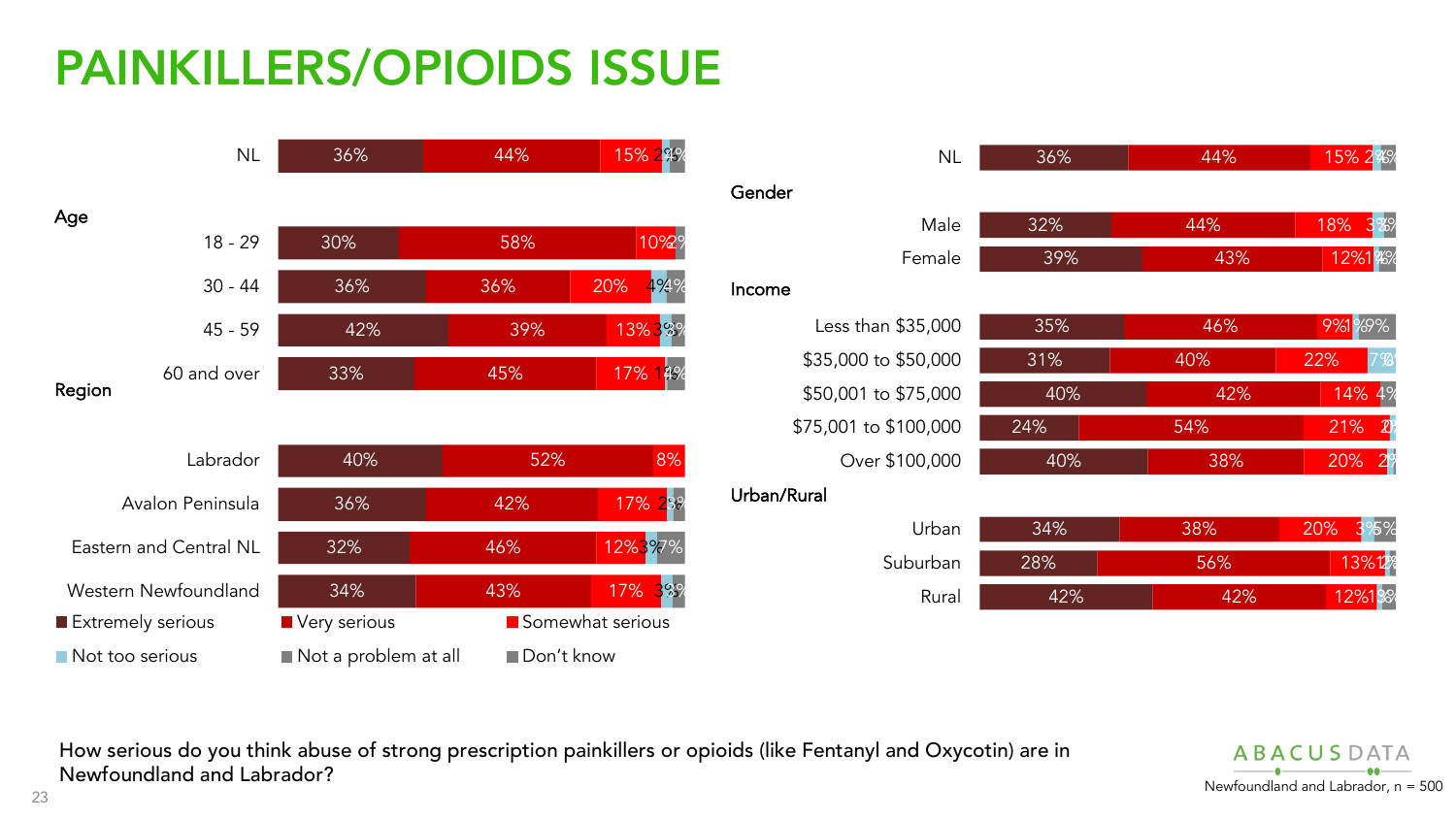## PAINKILLERS/OPIOIDS ISSUE





How serious do you think abuse of strong prescription painkillers or opioids (like Fentanyl and Oxycotin) are in Newfoundland and Labrador? Newfoundland and Labrador. n = 500

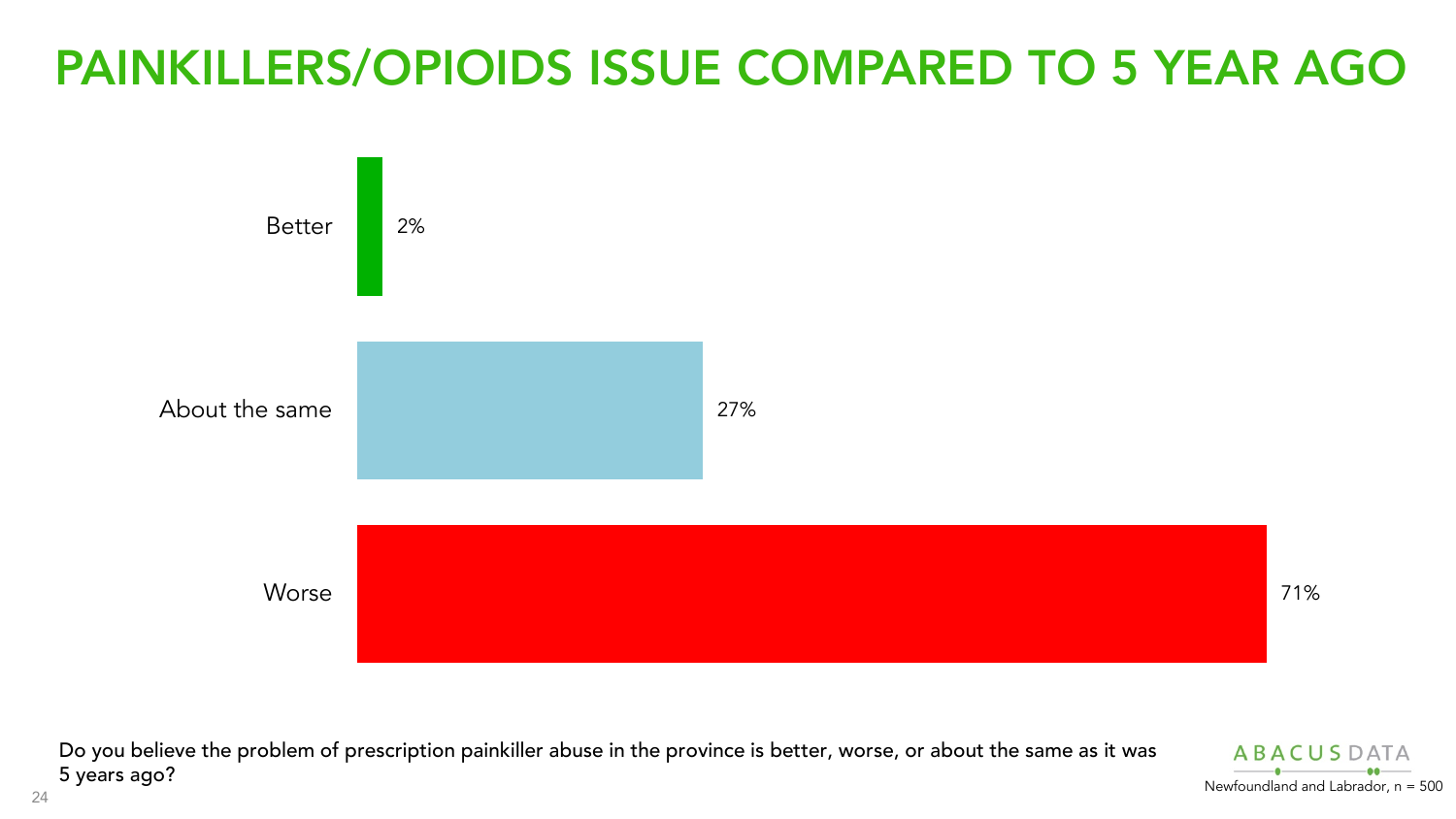#### PAINKILLERS/OPIOIDS ISSUE COMPARED TO 5 YEAR AGO



Do you believe the problem of prescription painkiller abuse in the province is better, worse, or about the same as it was<br>5 years ago?  $5$  years ago? Newfoundland and Labrador, n = 500

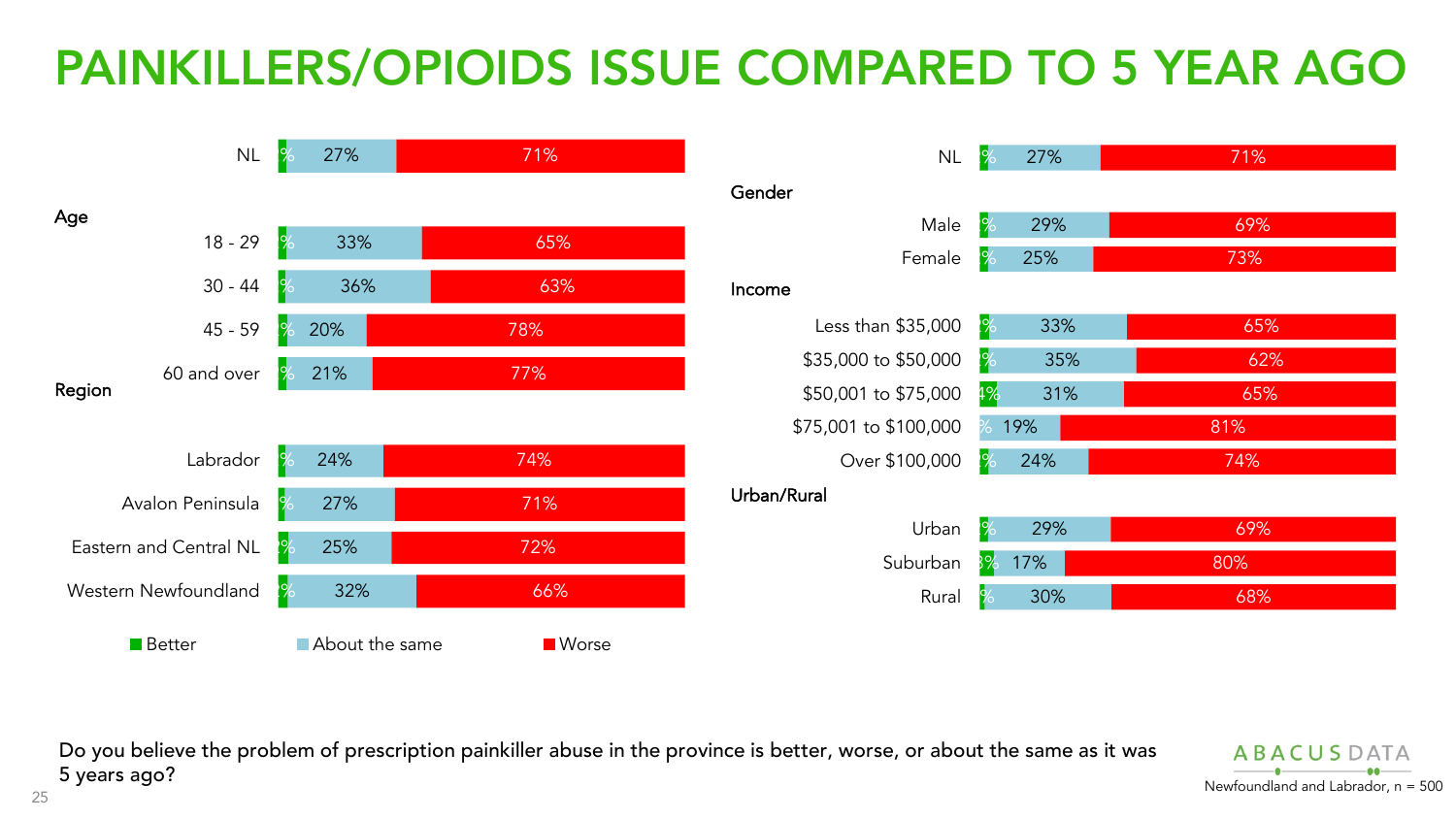## PAINKILLERS/OPIOIDS ISSUE COMPARED TO 5 YEAR AGO



Do you believe the problem of prescription painkiller abuse in the province is better, worse, or about the same as it was 5 years ago? Newfoundland and Labrador, n = 500

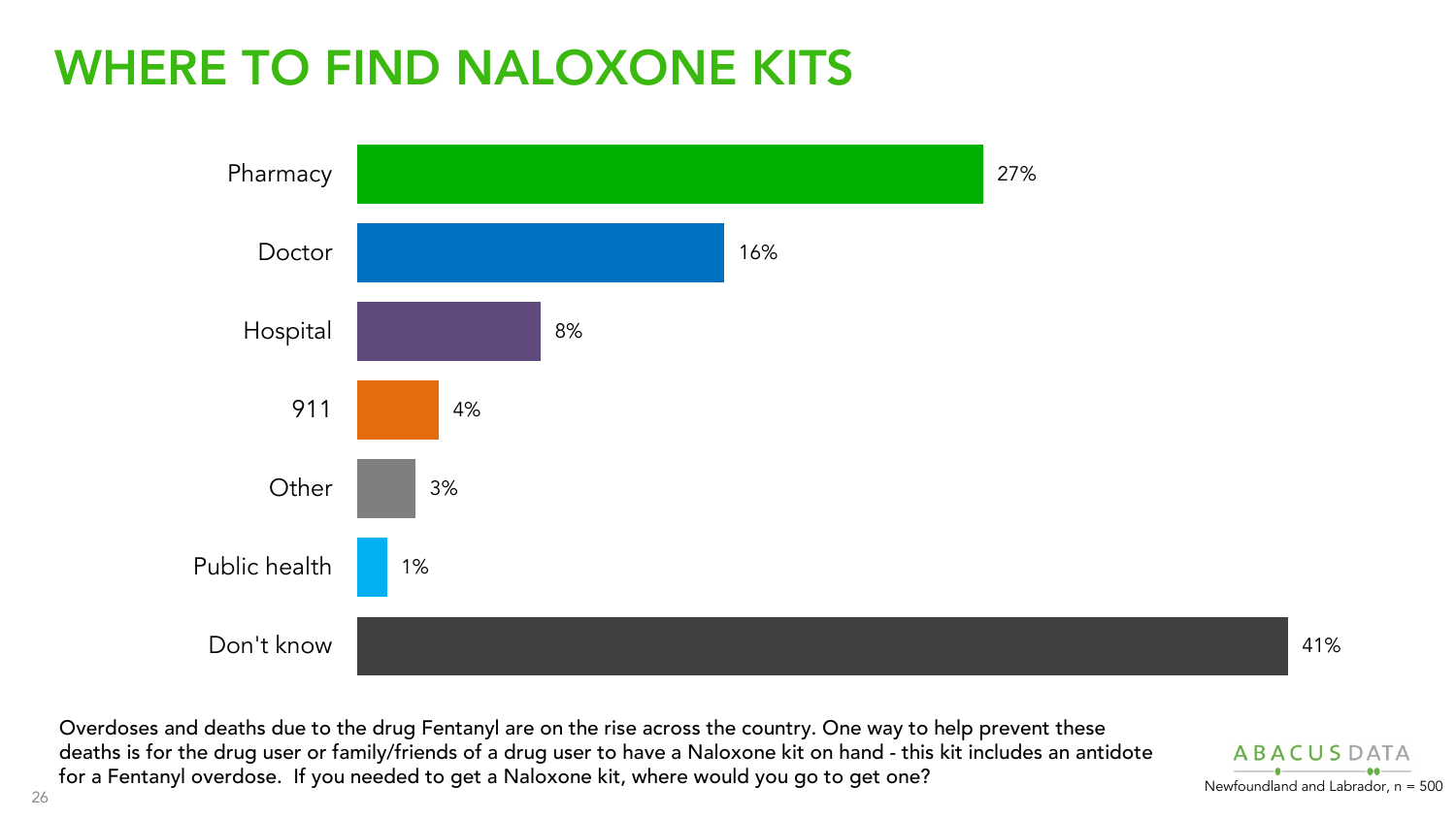#### WHERE TO FIND NALOXONE KITS



Overdoses and deaths due to the drug Fentanyl are on the rise across the country. One way to help prevent these deaths is for the drug user or family/friends of a drug user to have a Naloxone kit on hand - this kit includes an antidote for a Fentanyl overdose. If you needed to get a Naloxone kit, where would you go to get one?

**ARACUS**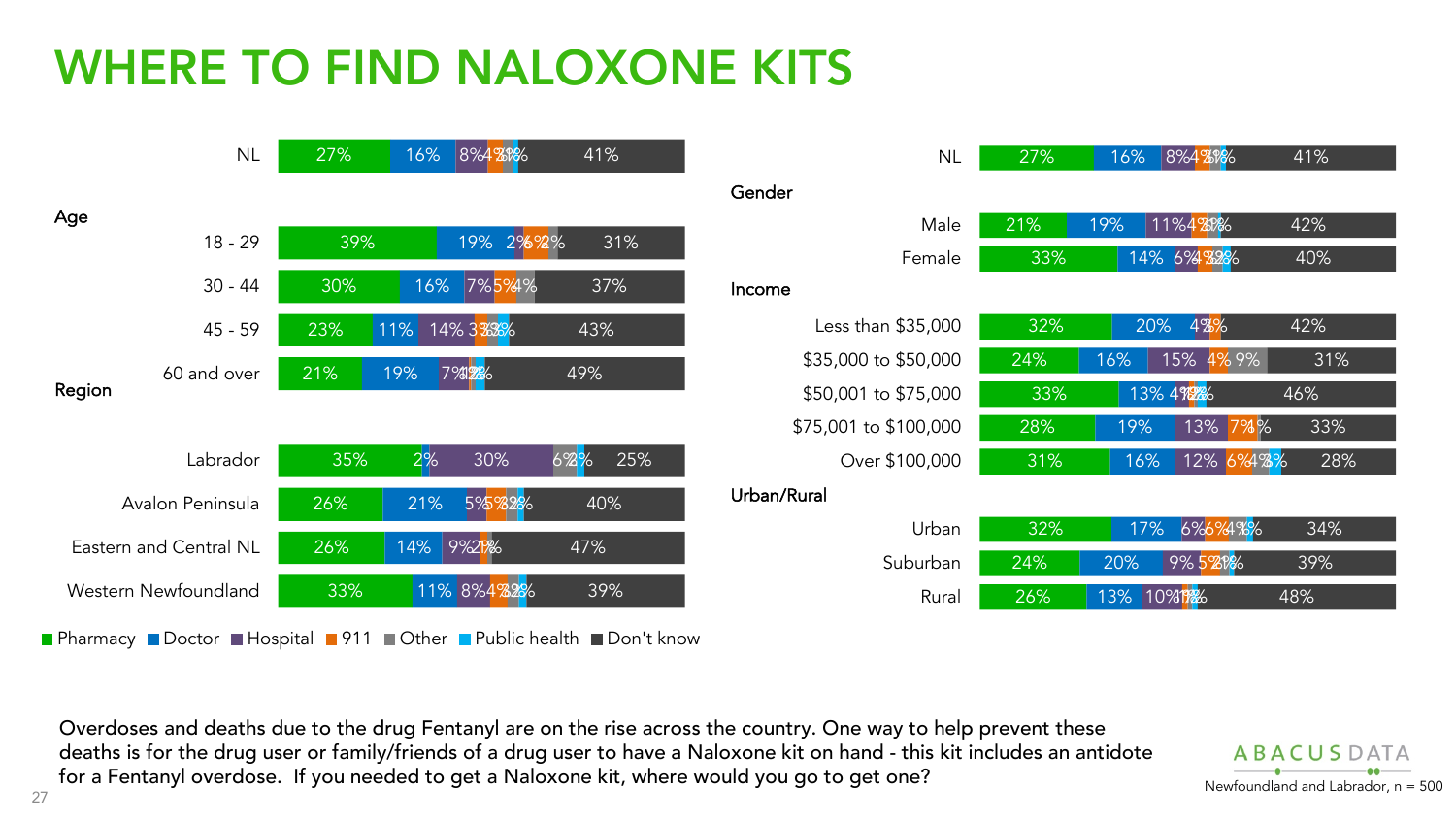## WHERE TO FIND NALOXONE KITS



Overdoses and deaths due to the drug Fentanyl are on the rise across the country. One way to help prevent these deaths is for the drug user or family/friends of a drug user to have a Naloxone kit on hand - this kit includes an antidote for a Fentanyl overdose. If you needed to get a Naloxone kit, where would you go to get one?

**ARACUSDATA**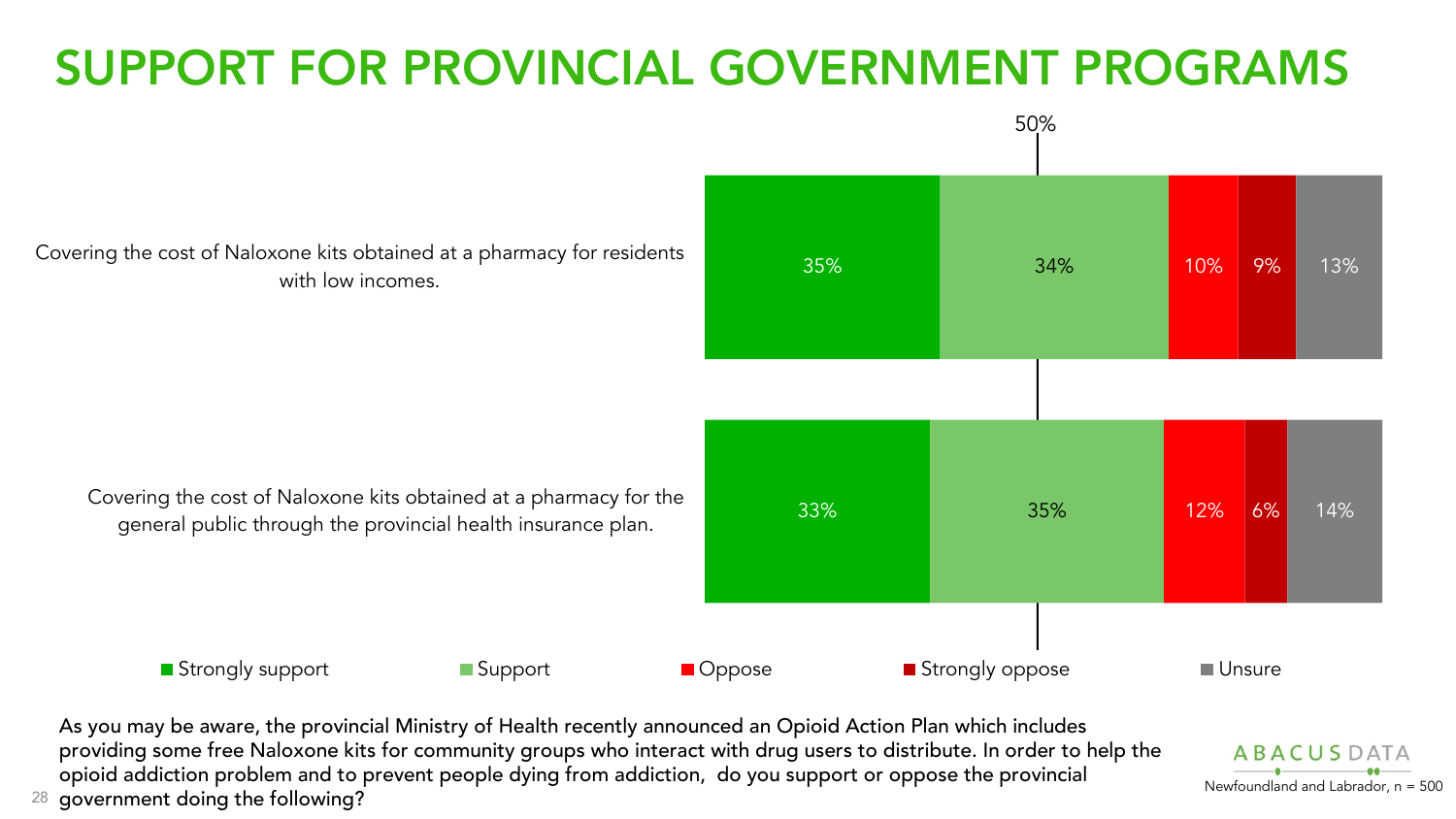## SUPPORT FOR PROVINCIAL GOVERNMENT PROGRAMS



epresent which is present to present the compresent process of process and process is presented and Labrador, n = 500<br>28 government doing the following? As you may be aware, the provincial Ministry of Health recently announced an Opioid Action Plan which includes providing some free Naloxone kits for community groups who interact with drug users to distribute. In order to help the opioid addiction problem and to prevent people dying from addiction, do you support or oppose the provincial

**ABACUSDATA**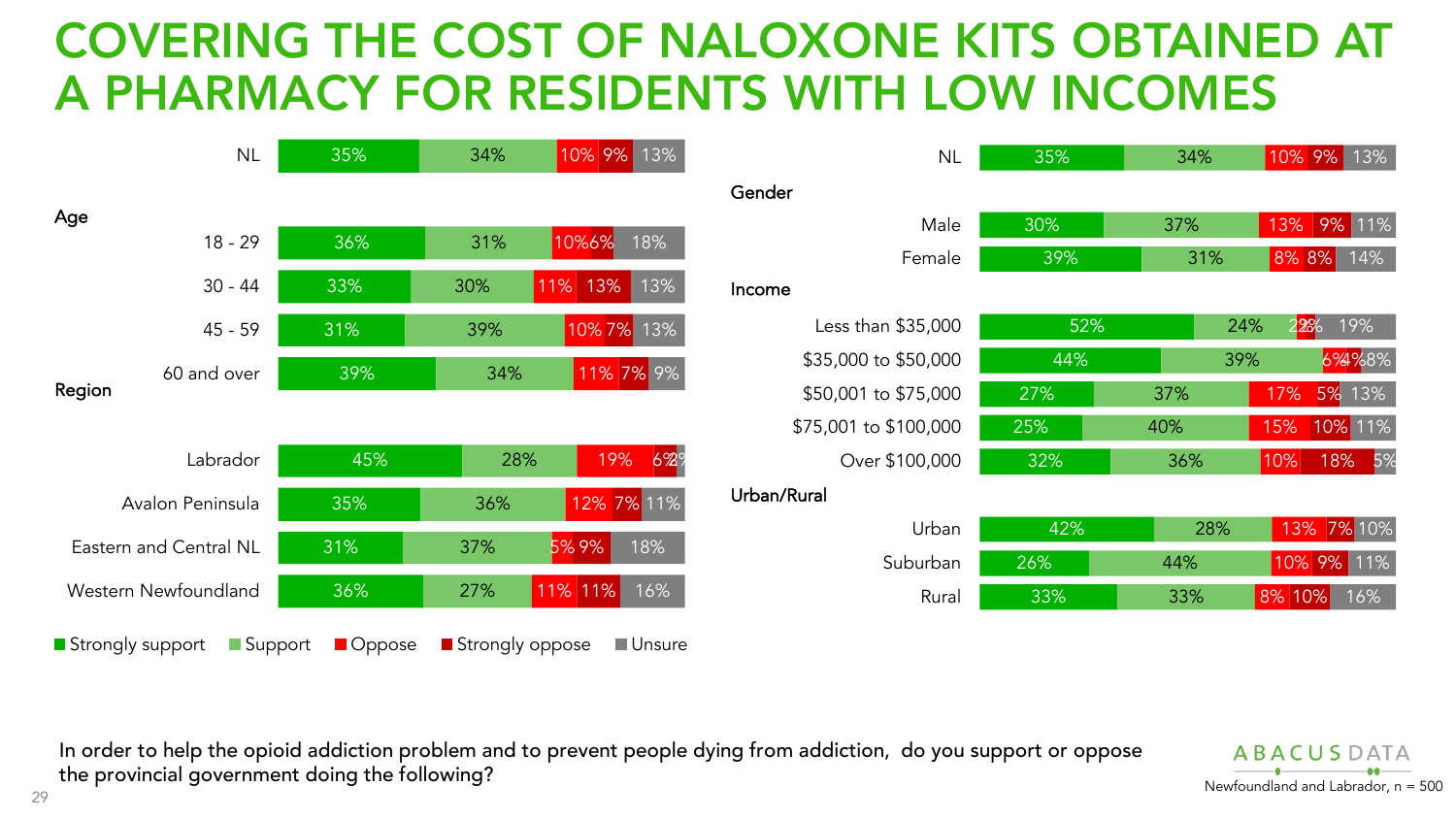#### COVERING THE COST OF NALOXONE KITS OBTAINED AT A PHARMACY FOR RESIDENTS WITH LOW INCOMES



| <b>NL</b>             | 35% | 34% | 10% 9%<br>13%     |
|-----------------------|-----|-----|-------------------|
|                       |     |     |                   |
| Male                  | 30% | 37% | 13%<br>9%<br>11%  |
| Female                | 39% | 31% | 8% 8%<br>14%      |
|                       |     |     |                   |
| Less than \$35,000    | 52% |     | 22%<br>19%<br>24% |
| \$35,000 to \$50,000  | 44% | 39% | 6%4%8%            |
| \$50,001 to \$75,000  | 27% | 37% | 13%<br>17%<br>5%  |
| \$75,001 to \$100,000 | 25% | 40% | 10% 11%<br>15%    |
| Over \$100,000        | 32% | 36% | 10%<br>18%<br>5%  |
| रेural                |     |     |                   |
| Urban                 | 42% | 28% | 7% 10%<br>13%     |
| Suburban              | 26% | 44% | 10% 9%<br>11%     |
| Rural                 | 33% | 33% | 8% 10%<br>16%     |

In order to help the opioid addiction problem and to prevent people dying from addiction, do you support or oppose the provincial government doing the following?<br>
Newfoundland and Labrador, n = 500